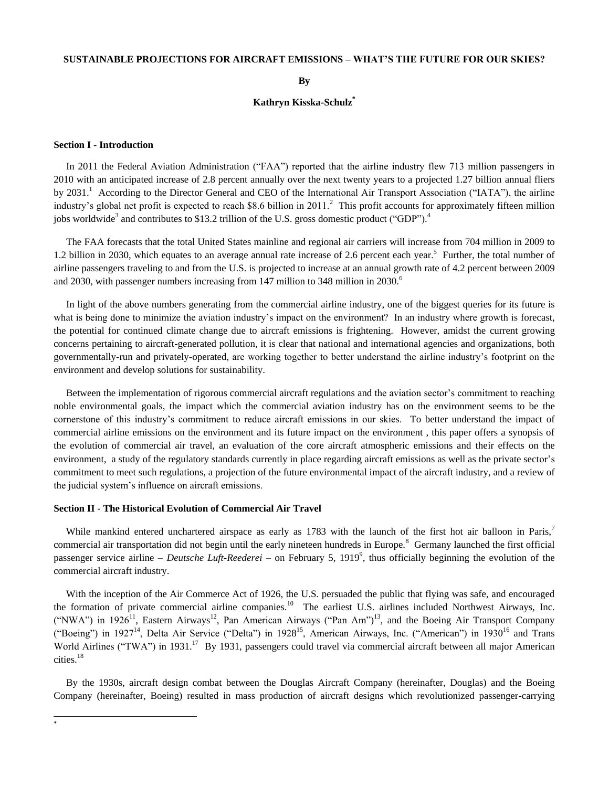# **SUSTAINABLE PROJECTIONS FOR AIRCRAFT EMISSIONS – WHAT'S THE FUTURE FOR OUR SKIES?**

**By**

### **Kathryn Kisska-Schulz\***

### **Section I - Introduction**

 $\overline{a}$ \*

 In 2011 the Federal Aviation Administration ("FAA") reported that the airline industry flew 713 million passengers in 2010 with an anticipated increase of 2.8 percent annually over the next twenty years to a projected 1.27 billion annual fliers by 2031.<sup>1</sup> According to the Director General and CEO of the International Air Transport Association ("IATA"), the airline industry's global net profit is expected to reach \$8.6 billion in 2011.<sup>2</sup> This profit accounts for approximately fifteen million jobs worldwide<sup>3</sup> and contributes to \$13.2 trillion of the U.S. gross domestic product ("GDP").<sup>4</sup>

 The FAA forecasts that the total United States mainline and regional air carriers will increase from 704 million in 2009 to 1.2 billion in 2030, which equates to an average annual rate increase of 2.6 percent each year.<sup>5</sup> Further, the total number of airline passengers traveling to and from the U.S. is projected to increase at an annual growth rate of 4.2 percent between 2009 and 2030, with passenger numbers increasing from 147 million to 348 million in 2030.<sup>6</sup>

 In light of the above numbers generating from the commercial airline industry, one of the biggest queries for its future is what is being done to minimize the aviation industry's impact on the environment? In an industry where growth is forecast, the potential for continued climate change due to aircraft emissions is frightening. However, amidst the current growing concerns pertaining to aircraft-generated pollution, it is clear that national and international agencies and organizations, both governmentally-run and privately-operated, are working together to better understand the airline industry's footprint on the environment and develop solutions for sustainability.

 Between the implementation of rigorous commercial aircraft regulations and the aviation sector's commitment to reaching noble environmental goals, the impact which the commercial aviation industry has on the environment seems to be the cornerstone of this industry's commitment to reduce aircraft emissions in our skies. To better understand the impact of commercial airline emissions on the environment and its future impact on the environment , this paper offers a synopsis of the evolution of commercial air travel, an evaluation of the core aircraft atmospheric emissions and their effects on the environment, a study of the regulatory standards currently in place regarding aircraft emissions as well as the private sector's commitment to meet such regulations, a projection of the future environmental impact of the aircraft industry, and a review of the judicial system's influence on aircraft emissions.

# **Section II - The Historical Evolution of Commercial Air Travel**

While mankind entered unchartered airspace as early as 1783 with the launch of the first hot air balloon in Paris,<sup>7</sup> commercial air transportation did not begin until the early nineteen hundreds in Europe.<sup>8</sup> Germany launched the first official passenger service airline – *Deutsche Luft-Reederei* – on February 5, 1919<sup>9</sup>, thus officially beginning the evolution of the commercial aircraft industry.

 With the inception of the Air Commerce Act of 1926, the U.S. persuaded the public that flying was safe, and encouraged the formation of private commercial airline companies.<sup>10</sup> The earliest U.S. airlines included Northwest Airways, Inc. ("NWA") in 1926<sup>11</sup>, Eastern Airways<sup>12</sup>, Pan American Airways ("Pan Am")<sup>13</sup>, and the Boeing Air Transport Company ("Boeing") in 1927<sup>14</sup>, Delta Air Service ("Delta") in 1928<sup>15</sup>, American Airways, Inc. ("American") in 1930<sup>16</sup> and Trans World Airlines ("TWA") in 1931.<sup>17</sup> By 1931, passengers could travel via commercial aircraft between all major American cities<sup>18</sup>

 By the 1930s, aircraft design combat between the Douglas Aircraft Company (hereinafter, Douglas) and the Boeing Company (hereinafter, Boeing) resulted in mass production of aircraft designs which revolutionized passenger-carrying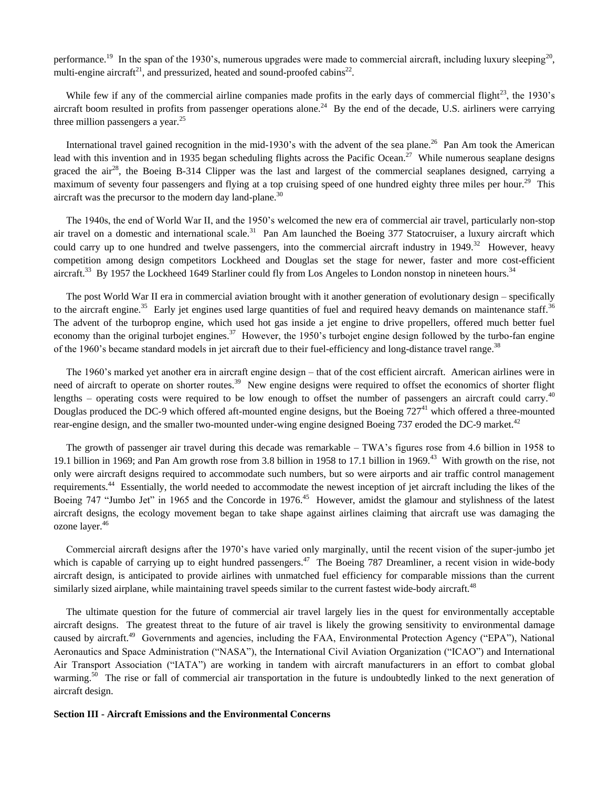performance.<sup>19</sup> In the span of the 1930's, numerous upgrades were made to commercial aircraft, including luxury sleeping<sup>20</sup>, multi-engine aircraft<sup>21</sup>, and pressurized, heated and sound-proofed cabins<sup>22</sup>.

While few if any of the commercial airline companies made profits in the early days of commercial flight $^{23}$ , the 1930's aircraft boom resulted in profits from passenger operations alone.<sup>24</sup> By the end of the decade, U.S. airliners were carrying three million passengers a year. $25$ 

International travel gained recognition in the mid-1930's with the advent of the sea plane.<sup>26</sup> Pan Am took the American lead with this invention and in 1935 began scheduling flights across the Pacific Ocean.<sup>27</sup> While numerous seaplane designs graced the air<sup>28</sup>, the Boeing B-314 Clipper was the last and largest of the commercial seaplanes designed, carrying a maximum of seventy four passengers and flying at a top cruising speed of one hundred eighty three miles per hour.<sup>29</sup> This aircraft was the precursor to the modern day land-plane.<sup>30</sup>

 The 1940s, the end of World War II, and the 1950's welcomed the new era of commercial air travel, particularly non-stop air travel on a domestic and international scale.<sup>31</sup> Pan Am launched the Boeing 377 Statocruiser, a luxury aircraft which could carry up to one hundred and twelve passengers, into the commercial aircraft industry in  $1949$ .<sup>32</sup> However, heavy competition among design competitors Lockheed and Douglas set the stage for newer, faster and more cost-efficient aircraft.<sup>33</sup> By 1957 the Lockheed 1649 Starliner could fly from Los Angeles to London nonstop in nineteen hours.<sup>34</sup>

 The post World War II era in commercial aviation brought with it another generation of evolutionary design – specifically to the aircraft engine.<sup>35</sup> Early jet engines used large quantities of fuel and required heavy demands on maintenance staff.<sup>36</sup> The advent of the turboprop engine, which used hot gas inside a jet engine to drive propellers, offered much better fuel economy than the original turbojet engines.<sup>37</sup> However, the 1950's turbojet engine design followed by the turbo-fan engine of the 1960's became standard models in jet aircraft due to their fuel-efficiency and long-distance travel range.<sup>38</sup>

 The 1960's marked yet another era in aircraft engine design – that of the cost efficient aircraft. American airlines were in need of aircraft to operate on shorter routes.<sup>39</sup> New engine designs were required to offset the economics of shorter flight lengths – operating costs were required to be low enough to offset the number of passengers an aircraft could carry.<sup>40</sup> Douglas produced the DC-9 which offered aft-mounted engine designs, but the Boeing  $727<sup>41</sup>$  which offered a three-mounted rear-engine design, and the smaller two-mounted under-wing engine designed Boeing 737 eroded the DC-9 market.<sup>42</sup>

 The growth of passenger air travel during this decade was remarkable – TWA's figures rose from 4.6 billion in 1958 to 19.1 billion in 1969; and Pan Am growth rose from 3.8 billion in 1958 to 17.1 billion in 1969. $^{43}$  With growth on the rise, not only were aircraft designs required to accommodate such numbers, but so were airports and air traffic control management requirements.<sup>44</sup> Essentially, the world needed to accommodate the newest inception of jet aircraft including the likes of the Boeing 747 "Jumbo Jet" in 1965 and the Concorde in 1976.<sup>45</sup> However, amidst the glamour and stylishness of the latest aircraft designs, the ecology movement began to take shape against airlines claiming that aircraft use was damaging the ozone layer.<sup>46</sup>

 Commercial aircraft designs after the 1970's have varied only marginally, until the recent vision of the super-jumbo jet which is capable of carrying up to eight hundred passengers.<sup>47</sup> The Boeing 787 Dreamliner, a recent vision in wide-body aircraft design, is anticipated to provide airlines with unmatched fuel efficiency for comparable missions than the current similarly sized airplane, while maintaining travel speeds similar to the current fastest wide-body aircraft.<sup>48</sup>

 The ultimate question for the future of commercial air travel largely lies in the quest for environmentally acceptable aircraft designs. The greatest threat to the future of air travel is likely the growing sensitivity to environmental damage caused by aircraft.<sup>49</sup> Governments and agencies, including the FAA, Environmental Protection Agency ("EPA"), National Aeronautics and Space Administration ("NASA"), the International Civil Aviation Organization ("ICAO") and International Air Transport Association ("IATA") are working in tandem with aircraft manufacturers in an effort to combat global warming.<sup>50</sup> The rise or fall of commercial air transportation in the future is undoubtedly linked to the next generation of aircraft design.

# **Section III - Aircraft Emissions and the Environmental Concerns**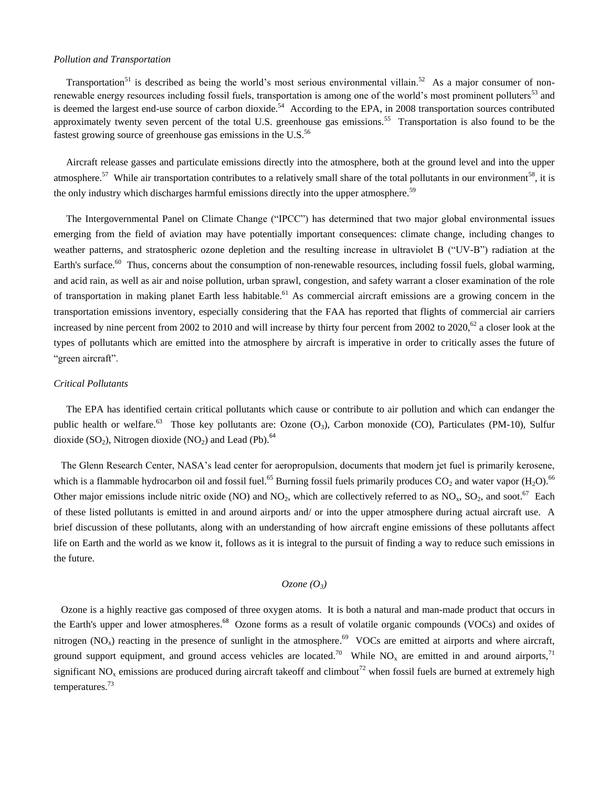# *Pollution and Transportation*

Transportation<sup>51</sup> is described as being the world's most serious environmental villain.<sup>52</sup> As a major consumer of nonrenewable energy resources including fossil fuels, transportation is among one of the world's most prominent polluters<sup>53</sup> and is deemed the largest end-use source of carbon dioxide.<sup>54</sup> According to the EPA, in 2008 transportation sources contributed approximately twenty seven percent of the total U.S. greenhouse gas emissions.<sup>55</sup> Transportation is also found to be the fastest growing source of greenhouse gas emissions in the U.S. $^{56}$ 

 Aircraft release gasses and particulate emissions directly into the atmosphere, both at the ground level and into the upper atmosphere.<sup>57</sup> While air transportation contributes to a relatively small share of the total pollutants in our environment<sup>58</sup>, it is the only industry which discharges harmful emissions directly into the upper atmosphere.<sup>59</sup>

 The Intergovernmental Panel on Climate Change ("IPCC") has determined that two major global environmental issues emerging from the field of aviation may have potentially important consequences: climate change, including changes to weather patterns, and stratospheric ozone depletion and the resulting increase in ultraviolet B ("UV-B") radiation at the Earth's surface.<sup>60</sup> Thus, concerns about the consumption of non-renewable resources, including fossil fuels, global warming, and acid rain, as well as air and noise pollution, urban sprawl, congestion, and safety warrant a closer examination of the role of transportation in making planet Earth less habitable.<sup>61</sup> As commercial aircraft emissions are a growing concern in the transportation emissions inventory, especially considering that the FAA has reported that flights of commercial air carriers increased by nine percent from 2002 to 2010 and will increase by thirty four percent from 2002 to 2020,<sup>62</sup> a closer look at the types of pollutants which are emitted into the atmosphere by aircraft is imperative in order to critically asses the future of "green aircraft".

### *Critical Pollutants*

 The EPA has identified certain critical pollutants which cause or contribute to air pollution and which can endanger the public health or welfare.<sup>63</sup> Those key pollutants are: Ozone (O<sub>3</sub>), Carbon monoxide (CO), Particulates (PM-10), Sulfur dioxide (SO<sub>2</sub>), Nitrogen dioxide (NO<sub>2</sub>) and Lead (Pb).<sup>64</sup>

 The Glenn Research Center, NASA's lead center for aeropropulsion, documents that modern jet fuel is primarily kerosene, which is a flammable hydrocarbon oil and fossil fuel.<sup>65</sup> Burning fossil fuels primarily produces  $CO_2$  and water vapor  $(H_2O)$ .<sup>66</sup> Other major emissions include nitric oxide (NO) and NO<sub>2</sub>, which are collectively referred to as  $NO_x$ ,  $SO_2$ , and soot.<sup>67</sup> Each of these listed pollutants is emitted in and around airports and/ or into the upper atmosphere during actual aircraft use. A brief discussion of these pollutants, along with an understanding of how aircraft engine emissions of these pollutants affect life on Earth and the world as we know it, follows as it is integral to the pursuit of finding a way to reduce such emissions in the future.

# *Ozone (O3)*

 Ozone is a highly reactive gas composed of three oxygen atoms. It is both a natural and man-made product that occurs in the Earth's upper and lower atmospheres.<sup>68</sup> Ozone forms as a result of volatile organic compounds (VOCs) and oxides of nitrogen (NO<sub>x</sub>) reacting in the presence of sunlight in the atmosphere.<sup>69</sup> VOCs are emitted at airports and where aircraft, ground support equipment, and ground access vehicles are located.<sup>70</sup> While NO<sub>x</sub> are emitted in and around airports,<sup>71</sup> significant NO<sub>x</sub> emissions are produced during aircraft takeoff and climbout<sup>72</sup> when fossil fuels are burned at extremely high temperatures.<sup>73</sup>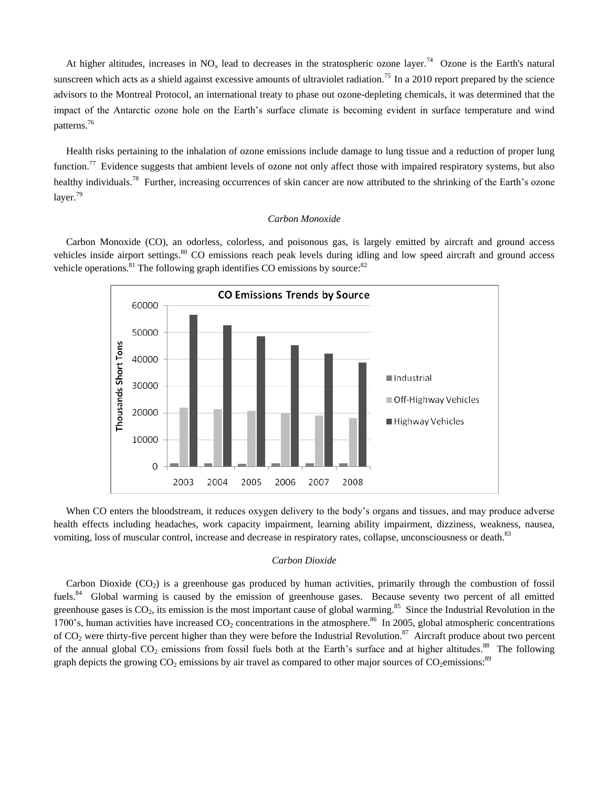At higher altitudes, increases in  $NO_x$  lead to decreases in the stratospheric ozone layer.<sup>74</sup> Ozone is the Earth's natural sunscreen which acts as a shield against excessive amounts of ultraviolet radiation.<sup>75</sup> In a 2010 report prepared by the science advisors to the Montreal Protocol, an international treaty to phase out ozone-depleting chemicals, it was determined that the impact of the Antarctic ozone hole on the Earth's surface climate is becoming evident in surface temperature and wind patterns.<sup>76</sup>

 Health risks pertaining to the inhalation of ozone emissions include damage to lung tissue and a reduction of proper lung function.<sup>77</sup> Evidence suggests that ambient levels of ozone not only affect those with impaired respiratory systems, but also healthy individuals.<sup>78</sup> Further, increasing occurrences of skin cancer are now attributed to the shrinking of the Earth's ozone layer.<sup>79</sup>

#### *Carbon Monoxide*

 Carbon Monoxide (CO), an odorless, colorless, and poisonous gas, is largely emitted by aircraft and ground access vehicles inside airport settings.<sup>80</sup> CO emissions reach peak levels during idling and low speed aircraft and ground access vehicle operations.<sup>81</sup> The following graph identifies CO emissions by source:<sup>82</sup>



When CO enters the bloodstream, it reduces oxygen delivery to the body's organs and tissues, and may produce adverse health effects including headaches, work capacity impairment, learning ability impairment, dizziness, weakness, nausea, vomiting, loss of muscular control, increase and decrease in respiratory rates, collapse, unconsciousness or death.<sup>83</sup>

### *Carbon Dioxide*

Carbon Dioxide  $(CO_2)$  is a [greenhouse gas](http://www.eoearth.org/article/Greenhouse_gas) produced by human activities, primarily through the [combustion](http://www.eoearth.org/article/Combustion) of fossil fuels.<sup>84</sup> Global warming is caused by the emission of greenhouse gases. Because seventy two percent of all emitted greenhouse gases is  $CO_2$ , its emission is the most important cause of global warming.<sup>85</sup> Since the Industrial Revolution in the 1700's, [human activities](http://www.epa.gov/climatechange/emissions/co2_human.html) have increased  $CO_2$  concentrations in the atmosphere.<sup>86</sup> In 2005, global atmospheric concentrations of  $CO_2$  were thirty-five percent higher than they were before the Industrial Revolution.<sup>87</sup> Aircraft produce about two percent of the annual global  $CO_2$  emissions from fossil fuels both at the Earth's surface and at higher altitudes.<sup>88</sup> The following graph depicts the growing  $CO<sub>2</sub>$  emissions by air travel as compared to other major sources of  $CO<sub>2</sub>$ emissions:<sup>89</sup>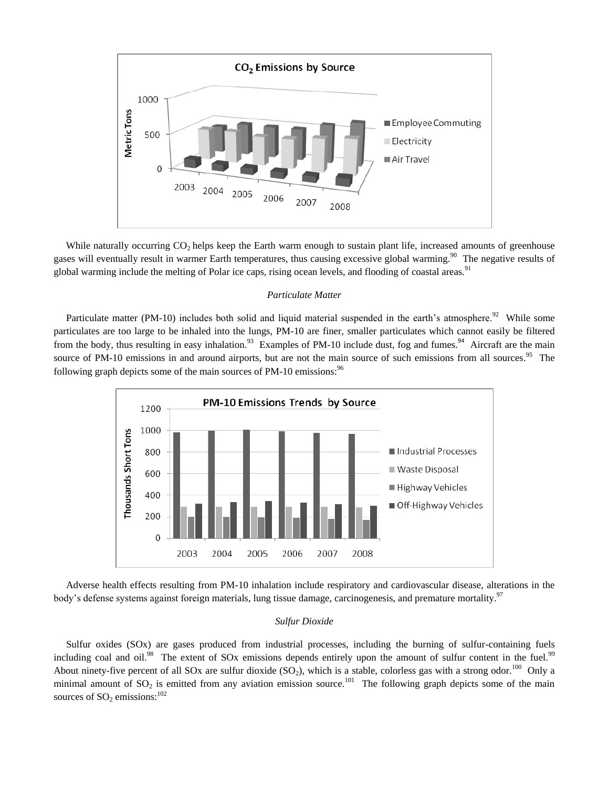

While naturally occurring  $CO<sub>2</sub>$  helps keep the Earth warm enough to sustain plant life, increased amounts of greenhouse gases will eventually result in warmer Earth temperatures, thus causing excessive global warming.<sup>90</sup> The negative results of global warming include the melting of Polar ice caps, rising ocean levels, and flooding of coastal areas.<sup>91</sup>

# *Particulate Matter*

Particulate matter (PM-10) includes both solid and liquid material suspended in the earth's atmosphere.<sup>92</sup> While some particulates are too large to be inhaled into the lungs, PM-10 are finer, smaller particulates which cannot easily be filtered from the body, thus resulting in easy inhalation.<sup>93</sup> Examples of PM-10 include dust, fog and fumes.<sup>94</sup> Aircraft are the main source of PM-10 emissions in and around airports, but are not the main source of such emissions from all sources.<sup>95</sup> The following graph depicts some of the main sources of PM-10 emissions:<sup>96</sup>



 Adverse health effects resulting from PM-10 inhalation include respiratory and cardiovascular disease, alterations in the body's defense systems against foreign materials, lung tissue damage, carcinogenesis, and premature mortality.<sup>97</sup>

# *Sulfur Dioxide*

 Sulfur oxides (SOx) are gases produced from industrial processes, including the burning of sulfur-containing fuels including coal and oil.<sup>98</sup> The extent of SOx emissions depends entirely upon the amount of sulfur content in the fuel.<sup>99</sup> About ninety-five percent of all SOx are sulfur dioxide  $(SO_2)$ , which is a stable, colorless gas with a strong odor.<sup>100</sup> Only a minimal amount of  $SO_2$  is emitted from any aviation emission source.<sup>101</sup> The following graph depicts some of the main sources of  $SO_2$  emissions:<sup>102</sup>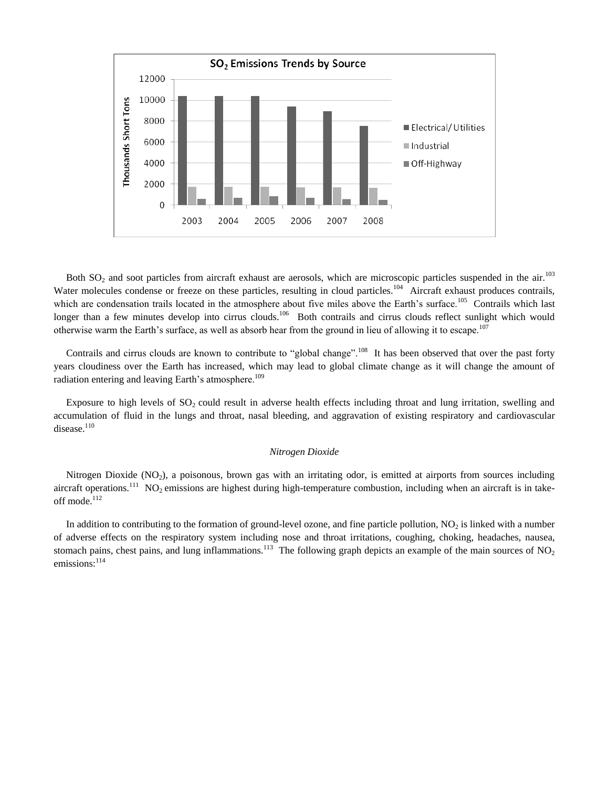

Both  $SO_2$  and soot particles from aircraft exhaust are aerosols, which are microscopic particles suspended in the air.<sup>103</sup> Water molecules condense or freeze on these particles, resulting in cloud particles.<sup>104</sup> Aircraft exhaust produces contrails, which are condensation trails located in the atmosphere about five miles above the Earth's surface.<sup>105</sup> Contrails which last longer than a few minutes develop into cirrus clouds.<sup>106</sup> Both contrails and cirrus clouds reflect sunlight which would otherwise warm the Earth's surface, as well as absorb hear from the ground in lieu of allowing it to escape.<sup>107</sup>

Contrails and cirrus clouds are known to contribute to "global change".<sup>108</sup> It has been observed that over the past forty years cloudiness over the Earth has increased, which may lead to global climate change as it will change the amount of radiation entering and leaving Earth's atmosphere.<sup>109</sup>

Exposure to high levels of  $SO_2$  could result in adverse health effects including throat and lung irritation, swelling and accumulation of fluid in the lungs and throat, nasal bleeding, and aggravation of existing respiratory and cardiovascular disease.<sup>110</sup>

### *Nitrogen Dioxide*

Nitrogen Dioxide (NO<sub>2</sub>), a poisonous, brown gas with an irritating odor, is emitted at airports from sources including aircraft operations.<sup>111</sup> NO<sub>2</sub> emissions are highest during high-temperature combustion, including when an aircraft is in takeoff mode.<sup>112</sup>

In addition to contributing to the formation of ground-level ozone, and fine particle pollution,  $NO<sub>2</sub>$  is linked with a number of adverse effects on the respiratory system including nose and throat irritations, coughing, choking, headaches, nausea, stomach pains, chest pains, and lung inflammations.<sup>113</sup> The following graph depicts an example of the main sources of  $NO<sub>2</sub>$ emissions:<sup>114</sup>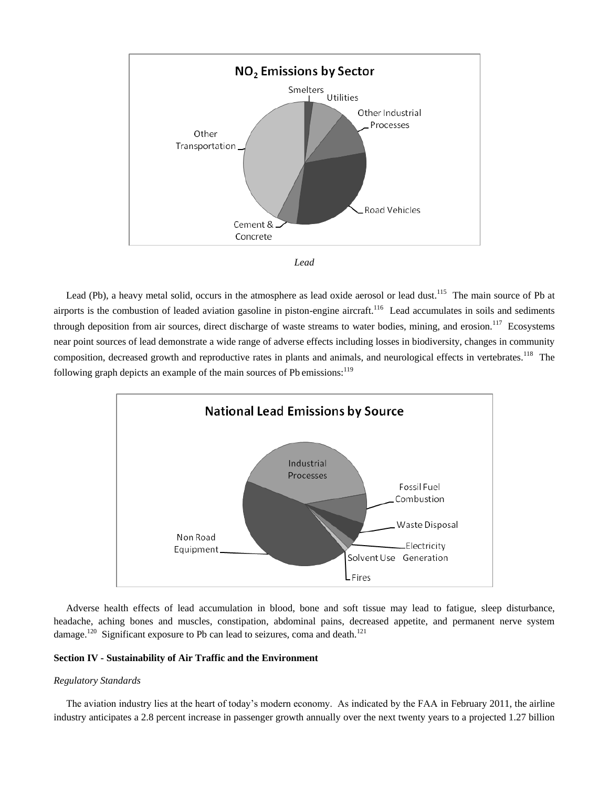



Lead (Pb), a heavy metal solid, occurs in the atmosphere as lead oxide aerosol or lead dust.<sup>115</sup> The main source of Pb at airports is the combustion of leaded aviation gasoline in piston-engine aircraft.<sup>116</sup> Lead accumulates in soils and sediments through deposition from air sources, direct discharge of waste streams to water bodies, mining, and erosion.<sup>117</sup> Ecosystems near point sources of lead demonstrate a wide range of adverse effects including losses in biodiversity, changes in community composition, decreased growth and reproductive rates in plants and animals, and neurological effects in vertebrates.<sup>118</sup> The following graph depicts an example of the main sources of Pb emissions: $119$ 



 Adverse health effects of lead accumulation in blood, bone and soft tissue may lead to fatigue, sleep disturbance, headache, aching bones and muscles, constipation, abdominal pains, decreased appetite, and permanent nerve system damage.<sup>120</sup> Significant exposure to Pb can lead to seizures, coma and death.<sup>121</sup>

# **Section IV - Sustainability of Air Traffic and the Environment**

# *Regulatory Standards*

 The aviation industry lies at the heart of today's modern economy. As indicated by the FAA in February 2011, the airline industry anticipates a 2.8 percent increase in passenger growth annually over the next twenty years to a projected 1.27 billion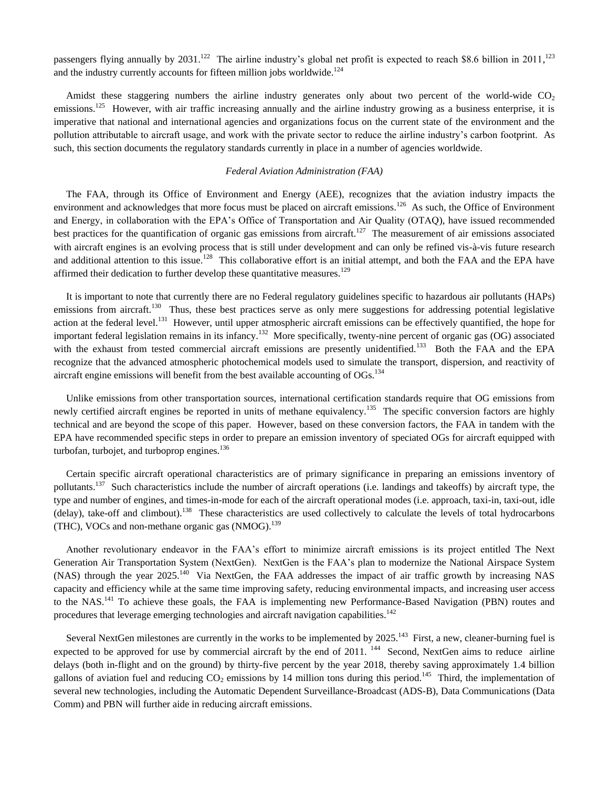passengers flying annually by 2031.<sup>122</sup> The airline industry's global net profit is expected to reach \$8.6 billion in 2011,<sup>123</sup> and the industry currently accounts for fifteen million jobs worldwide.<sup>124</sup>

Amidst these staggering numbers the airline industry generates only about two percent of the world-wide  $CO<sub>2</sub>$ emissions.<sup>125</sup> However, with air traffic increasing annually and the airline industry growing as a business enterprise, it is imperative that national and international agencies and organizations focus on the current state of the environment and the pollution attributable to aircraft usage, and work with the private sector to reduce the airline industry's carbon footprint. As such, this section documents the regulatory standards currently in place in a number of agencies worldwide.

#### *Federal Aviation Administration (FAA)*

 The FAA, through its Office of Environment and Energy (AEE), recognizes that the aviation industry impacts the environment and acknowledges that more focus must be placed on aircraft emissions.<sup>126</sup> As such, the Office of Environment and Energy, in collaboration with the EPA's Office of Transportation and Air Quality (OTAQ), have issued recommended best practices for the quantification of organic gas emissions from aircraft.<sup>127</sup> The measurement of air emissions associated with aircraft engines is an evolving process that is still under development and can only be refined vis-à-vis future research and additional attention to this issue.<sup>128</sup> This collaborative effort is an initial attempt, and both the FAA and the EPA have affirmed their dedication to further develop these quantitative measures.<sup>129</sup>

 It is important to note that currently there are no Federal regulatory guidelines specific to hazardous air pollutants (HAPs) emissions from aircraft.<sup>130</sup> Thus, these best practices serve as only mere suggestions for addressing potential legislative action at the federal level.<sup>131</sup> However, until upper atmospheric aircraft emissions can be effectively quantified, the hope for important federal legislation remains in its infancy.<sup>132</sup> More specifically, twenty-nine percent of organic gas (OG) associated with the exhaust from tested commercial aircraft emissions are presently unidentified.<sup>133</sup> Both the FAA and the EPA recognize that the advanced atmospheric photochemical models used to simulate the transport, dispersion, and reactivity of aircraft engine emissions will benefit from the best available accounting of  $OGs$ .<sup>134</sup>

 Unlike emissions from other transportation sources, international certification standards require that OG emissions from newly certified aircraft engines be reported in units of methane equivalency.<sup>135</sup> The specific conversion factors are highly technical and are beyond the scope of this paper. However, based on these conversion factors, the FAA in tandem with the EPA have recommended specific steps in order to prepare an emission inventory of speciated OGs for aircraft equipped with turbofan, turbojet, and turboprop engines.<sup>136</sup>

 Certain specific aircraft operational characteristics are of primary significance in preparing an emissions inventory of pollutants.<sup>137</sup> Such characteristics include the number of aircraft operations (i.e. landings and takeoffs) by aircraft type, the type and number of engines, and times-in-mode for each of the aircraft operational modes (i.e. approach, taxi-in, taxi-out, idle (delay), take-off and climbout).<sup>138</sup> These characteristics are used collectively to calculate the levels of total hydrocarbons (THC), VOCs and non-methane organic gas  $(NMOG)$ .<sup>139</sup>

 Another revolutionary endeavor in the FAA's effort to minimize aircraft emissions is its project entitled The Next Generation Air Transportation System (NextGen). NextGen is the FAA's plan to modernize the National Airspace System (NAS) through the year 2025.<sup>140</sup> Via NextGen, the FAA addresses the impact of air traffic growth by increasing NAS capacity and efficiency while at the same time improving safety, reducing environmental impacts, and increasing user access to the NAS.<sup>141</sup> To achieve these goals, the FAA is implementing new Performance-Based Navigation (PBN) routes and procedures that leverage emerging technologies and aircraft navigation capabilities.<sup>142</sup>

Several NextGen milestones are currently in the works to be implemented by  $2025$ .<sup>143</sup> First, a new, cleaner-burning fuel is expected to be approved for use by commercial aircraft by the end of  $2011$ . <sup>144</sup> Second, NextGen aims to reduce airline delays (both in-flight and on the ground) by thirty-five percent by the year 2018, thereby saving approximately 1.4 billion gallons of aviation fuel and reducing  $CO_2$  emissions by 14 million tons during this period.<sup>145</sup> Third, the implementation of several new technologies, including the Automatic Dependent Surveillance-Broadcast (ADS-B), Data Communications (Data Comm) and PBN will further aide in reducing aircraft emissions.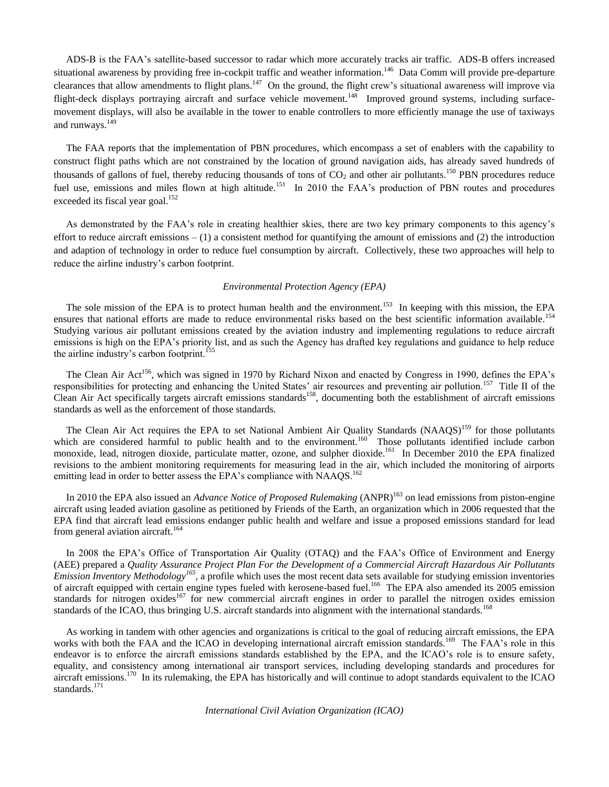ADS-B is the FAA's satellite-based successor to radar which more accurately tracks air traffic. ADS-B offers increased situational awareness by providing free in-cockpit traffic and weather information.<sup>146</sup> Data Comm will provide pre-departure clearances that allow amendments to flight plans.<sup>147</sup> On the ground, the flight crew's situational awareness will improve via flight-deck displays portraying aircraft and surface vehicle movement.<sup>148</sup> Improved ground systems, including surfacemovement displays, will also be available in the tower to enable controllers to more efficiently manage the use of taxiways and runways.<sup>149</sup>

 The FAA reports that the implementation of PBN procedures, which encompass a set of enablers with the capability to construct flight paths which are not constrained by the location of ground navigation aids, has already saved hundreds of thousands of gallons of fuel, thereby reducing thousands of tons of  $CO<sub>2</sub>$  and other air pollutants.<sup>150</sup> PBN procedures reduce fuel use, emissions and miles flown at high altitude.<sup>151</sup> In 2010 the FAA's production of PBN routes and procedures exceeded its fiscal year goal.<sup>152</sup>

 As demonstrated by the FAA's role in creating healthier skies, there are two key primary components to this agency's effort to reduce aircraft emissions  $- (1)$  a consistent method for quantifying the amount of emissions and  $(2)$  the introduction and adaption of technology in order to reduce fuel consumption by aircraft. Collectively, these two approaches will help to reduce the airline industry's carbon footprint.

# *Environmental Protection Agency (EPA)*

The sole mission of the EPA is to protect human health and the environment.<sup>153</sup> In keeping with this mission, the EPA ensures that national efforts are made to reduce environmental risks based on the best scientific information available.<sup>154</sup> Studying various air pollutant emissions created by the aviation industry and implementing regulations to reduce aircraft emissions is high on the EPA's priority list, and as such the Agency has drafted key regulations and guidance to help reduce the airline industry's carbon footprint.<sup>155</sup>

The Clean Air Act<sup>156</sup>, which was signed in 1970 by Richard Nixon and enacted by Congress in 1990, defines the EPA's responsibilities for protecting and enhancing the United States' air resources and preventing air pollution.<sup>157</sup> Title II of the Clean Air Act specifically targets aircraft emissions standards<sup>158</sup>, documenting both the establishment of aircraft emissions standards as well as the enforcement of those standards.

The Clean Air Act requires the EPA to set National Ambient Air Quality Standards (NAAQS)<sup>159</sup> for those pollutants which are considered harmful to public health and to the environment.<sup>160</sup> Those pollutants identified include carbon monoxide, lead, nitrogen dioxide, particulate matter, ozone, and sulpher dioxide.<sup>161</sup> In December 2010 the EPA finalized revisions to the ambient monitoring requirements for measuring lead in the air, which included the monitoring of airports emitting lead in order to better assess the EPA's compliance with NAAQS.<sup>162</sup>

In 2010 the EPA also issued an *Advance Notice of Proposed Rulemaking* (ANPR)<sup>163</sup> on lead emissions from piston-engine aircraft using leaded aviation gasoline as petitioned by Friends of the Earth, an organization which in 2006 requested that the EPA find that aircraft lead emissions endanger public health and welfare and issue a proposed emissions standard for lead from general aviation aircraft.<sup>164</sup>

 In 2008 the EPA's Office of Transportation Air Quality (OTAQ) and the FAA's Office of Environment and Energy (AEE) prepared a *Quality Assurance Project Plan For the Development of a Commercial Aircraft Hazardous Air Pollutants Emission Inventory Methodology<sup>165</sup> ,* a profile which uses the most recent data sets available for studying emission inventories of aircraft equipped with certain engine types fueled with kerosene-based fuel.<sup>166</sup> The EPA also amended its 2005 emission standards for nitrogen oxides<sup>167</sup> for new commercial aircraft engines in order to parallel the nitrogen oxides emission standards of the ICAO, thus bringing U.S. aircraft standards into alignment with the international standards.<sup>168</sup>

 As working in tandem with other agencies and organizations is critical to the goal of reducing aircraft emissions, the EPA works with both the FAA and the ICAO in developing international aircraft emission standards.<sup>169</sup> The FAA's role in this endeavor is to enforce the aircraft emissions standards established by the EPA, and the ICAO's role is to ensure safety, equality, and consistency among international air transport services, including developing standards and procedures for aircraft emissions.<sup>170</sup> In its rulemaking, the EPA has historically and will continue to adopt standards equivalent to the ICAO standards.<sup>171</sup>

*International Civil Aviation Organization (ICAO)*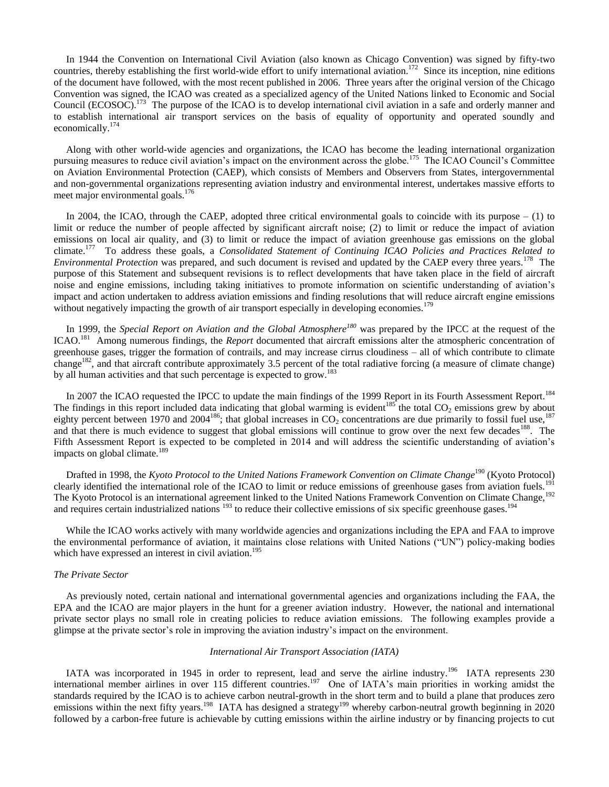In 1944 the Convention on International Civil Aviation (also known as Chicago Convention) was signed by fifty-two countries, thereby establishing the first world-wide effort to unify international aviation.<sup>172</sup> Since its inception, nine editions of the document have followed, with the most recent published in 2006. Three years after the original version of the Chicago Convention was signed, the ICAO was created as a specialized agency of the United Nations linked to Economic and Social Council (ECOSOC).<sup>173</sup> The purpose of the ICAO is to develop international civil aviation in a safe and orderly manner and to establish international air transport services on the basis of equality of opportunity and operated soundly and economically.<sup>174</sup>

 Along with other world-wide agencies and organizations, the ICAO has become the leading international organization pursuing measures to reduce civil aviation's impact on the environment across the globe.<sup>175</sup> The ICAO Council's Committee on Aviation Environmental Protection (CAEP), which consists of Members and Observers from States, intergovernmental and non-governmental organizations representing aviation industry and environmental interest, undertakes massive efforts to meet major environmental goals.<sup>176</sup>

In 2004, the ICAO, through the CAEP, adopted three critical environmental goals to coincide with its purpose  $- (1)$  to limit or reduce the number of people affected by significant aircraft noise; (2) to limit or reduce the impact of aviation emissions on local air quality, and (3) to limit or reduce the impact of aviation greenhouse gas emissions on the global climate.<sup>177</sup> To address these goals, a *Consolidated Statement of Continuing ICAO Policies and Practices Related to Environmental Protection* was prepared, and such document is revised and updated by the CAEP every three years.<sup>178</sup> The purpose of this Statement and subsequent revisions is to reflect developments that have taken place in the field of aircraft noise and engine emissions, including taking initiatives to promote information on scientific understanding of aviation's impact and action undertaken to address aviation emissions and finding resolutions that will reduce aircraft engine emissions without negatively impacting the growth of air transport especially in developing economies.<sup>179</sup>

 In 1999, the *Special Report on Aviation and the Global Atmosphere<sup>180</sup>* was prepared by the IPCC at the request of the ICAO.<sup>181</sup> Among numerous findings, the *Report* documented that aircraft emissions alter the atmospheric concentration of greenhouse gases, trigger the formation of contrails, and may increase cirrus cloudiness – all of which contribute to climate change<sup>182</sup>, and that aircraft contribute approximately 3.5 percent of the total radiative forcing (a measure of climate change) by all human activities and that such percentage is expected to grow.<sup>183</sup>

In 2007 the ICAO requested the IPCC to update the main findings of the 1999 Report in its Fourth Assessment Report.<sup>184</sup> The findings in this report included data indicating that global warming is evident<sup>185</sup> the total  $CO_2$  emissions grew by about eighty percent between 1970 and 2004<sup>186</sup>; that global increases in  $CO_2$  concentrations are due primarily to fossil fuel use,<sup>187</sup> and that there is much evidence to suggest that global emissions will continue to grow over the next few decades<sup>188</sup>. The Fifth Assessment Report is expected to be completed in 2014 and will address the scientific understanding of aviation's impacts on global climate.<sup>189</sup>

Drafted in 1998, the *Kyoto Protocol to the United Nations Framework Convention on Climate Change*<sup>190</sup> (Kyoto Protocol) clearly identified the international role of the ICAO to limit or reduce emissions of greenhouse gases from aviation fuels.<sup>191</sup> The Kyoto Protocol is an international agreement linked to the United Nations Framework Convention on Climate Change,<sup>192</sup> and requires certain industrialized nations <sup>193</sup> to reduce their collective emissions of six specific greenhouse gases.<sup>194</sup>

 While the ICAO works actively with many worldwide agencies and organizations including the EPA and FAA to improve the environmental performance of aviation, it maintains close relations with United Nations ("UN") policy-making bodies which have expressed an interest in civil aviation.<sup>195</sup>

# *The Private Sector*

 As previously noted, certain national and international governmental agencies and organizations including the FAA, the EPA and the ICAO are major players in the hunt for a greener aviation industry. However, the national and international private sector plays no small role in creating policies to reduce aviation emissions. The following examples provide a glimpse at the private sector's role in improving the aviation industry's impact on the environment.

#### *International Air Transport Association (IATA)*

IATA was incorporated in 1945 in order to represent, lead and serve the airline industry.<sup>196</sup> IATA represents 230 international member airlines in over 115 different countries.<sup>197</sup> One of IATA's main priorities in working amidst the standards required by the ICAO is to achieve carbon neutral-growth in the short term and to build a plane that produces zero emissions within the next fifty years.<sup>198</sup> IATA has designed a strategy<sup>199</sup> whereby carbon-neutral growth beginning in 2020 followed by a carbon-free future is achievable by cutting emissions within the airline industry or by financing projects to cut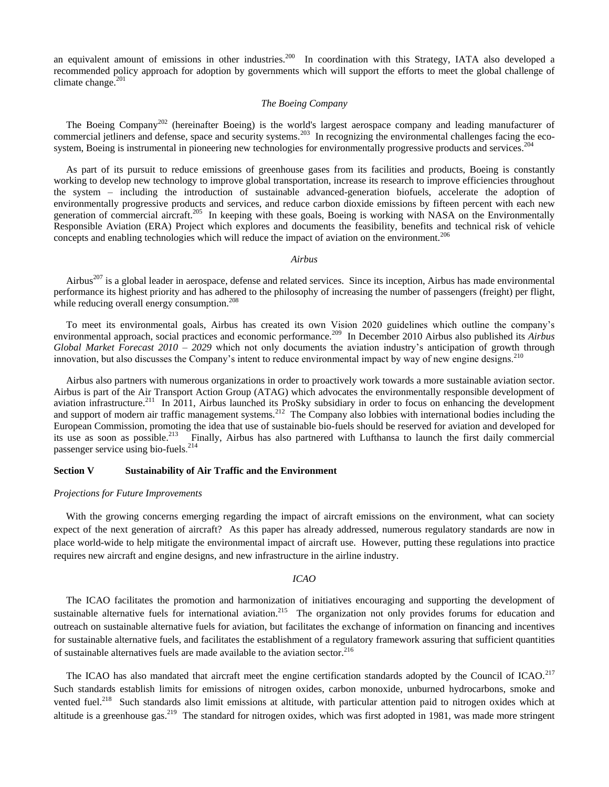an equivalent amount of emissions in other industries.<sup>200</sup> In coordination with this Strategy, IATA also developed a recommended policy approach for adoption by governments which will support the efforts to meet the global challenge of climate change. $201$ 

#### *The Boeing Company*

The Boeing Company<sup>202</sup> (hereinafter Boeing) is the world's largest aerospace company and leading manufacturer of commercial jetliners and defense, space and security systems.<sup>203</sup> In recognizing the environmental challenges facing the ecosystem, Boeing is instrumental in pioneering new technologies for environmentally progressive products and services.<sup>20</sup>

 As part of its pursuit to reduce emissions of greenhouse gases from its facilities and products, Boeing is constantly working to develop new technology to improve global transportation, increase its research to improve efficiencies throughout the system – including the introduction of sustainable advanced-generation biofuels, accelerate the adoption of environmentally progressive products and services, and reduce carbon dioxide emissions by fifteen percent with each new generation of commercial aircraft.<sup>205</sup> In keeping with these goals, Boeing is working with NASA on the Environmentally Responsible Aviation (ERA) Project which explores and documents the feasibility, benefits and technical risk of vehicle concepts and enabling technologies which will reduce the impact of aviation on the environment.<sup>206</sup>

#### *Airbus*

Airbus<sup>207</sup> is a global leader in aerospace, defense and related services. Since its inception, Airbus has made environmental performance its highest priority and has adhered to the philosophy of increasing the number of passengers (freight) per flight, while reducing overall energy consumption.<sup>208</sup>

 To meet its environmental goals, Airbus has created its own Vision 2020 guidelines which outline the company's environmental approach, social practices and economic performance.<sup>209</sup> In December 2010 Airbus also published its *Airbus Global Market Forecast 2010 – 2029* which not only documents the aviation industry's anticipation of growth through innovation, but also discusses the Company's intent to reduce environmental impact by way of new engine designs.<sup>210</sup>

 Airbus also partners with numerous organizations in order to proactively work towards a more sustainable aviation sector. Airbus is part of the Air Transport Action Group (ATAG) which advocates the environmentally responsible development of aviation infrastructure.<sup>211</sup> In 2011, Airbus launched its ProSky subsidiary in order to focus on enhancing the development and support of modern air traffic management systems.<sup>212</sup> The Company also lobbies with international bodies including the European Commission, promoting the idea that use of sustainable bio-fuels should be reserved for aviation and developed for its use as soon as possible. $213$  Finally, Airbus has also partnered with Lufthansa to launch the first daily commercial passenger service using bio-fuels. 214

## **Section V Sustainability of Air Traffic and the Environment**

#### *Projections for Future Improvements*

With the growing concerns emerging regarding the impact of aircraft emissions on the environment, what can society expect of the next generation of aircraft? As this paper has already addressed, numerous regulatory standards are now in place world-wide to help mitigate the environmental impact of aircraft use. However, putting these regulations into practice requires new aircraft and engine designs, and new infrastructure in the airline industry.

#### *ICAO*

 The ICAO facilitates the promotion and harmonization of initiatives encouraging and supporting the development of sustainable alternative fuels for international aviation.<sup>215</sup> The organization not only provides forums for education and outreach on sustainable alternative fuels for aviation, but facilitates the exchange of information on financing and incentives for sustainable alternative fuels, and facilitates the establishment of a regulatory framework assuring that sufficient quantities of sustainable alternatives fuels are made available to the aviation sector.<sup>216</sup>

The ICAO has also mandated that aircraft meet the engine certification standards adopted by the Council of ICAO.<sup>217</sup> Such standards establish limits for emissions of nitrogen oxides, carbon monoxide, unburned hydrocarbons, smoke and vented fuel.<sup>218</sup> Such standards also limit emissions at altitude, with particular attention paid to nitrogen oxides which at altitude is a greenhouse gas.<sup>219</sup> The standard for nitrogen oxides, which was first adopted in 1981, was made more stringent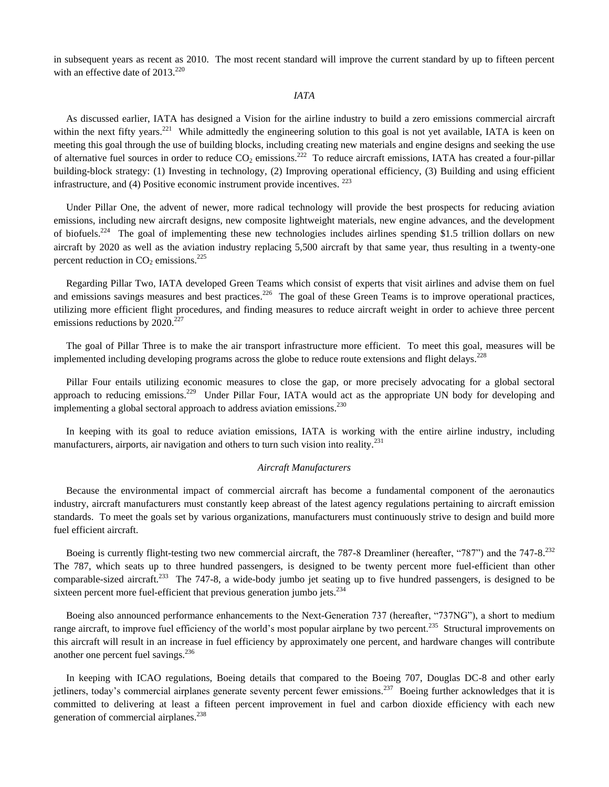in subsequent years as recent as 2010. The most recent standard will improve the current standard by up to fifteen percent with an effective date of 2013.<sup>220</sup>

# *IATA*

 As discussed earlier, IATA has designed a Vision for the airline industry to build a zero emissions commercial aircraft within the next fifty years.<sup>221</sup> While admittedly the engineering solution to this goal is not yet available, IATA is keen on meeting this goal through the use of building blocks, including creating new materials and engine designs and seeking the use of alternative fuel sources in order to reduce  $CO_2$  emissions.<sup>222</sup> To reduce aircraft emissions, IATA has created a four-pillar building-block strategy: (1) Investing in technology, (2) Improving operational efficiency, (3) Building and using efficient infrastructure, and  $(4)$  Positive economic instrument provide incentives.  $^{223}$ 

 Under Pillar One, the advent of newer, more radical technology will provide the best prospects for reducing aviation emissions, including new aircraft designs, new composite lightweight materials, new engine advances, and the development of biofuels.<sup>224</sup> The goal of implementing these new technologies includes airlines spending \$1.5 trillion dollars on new aircraft by 2020 as well as the aviation industry replacing 5,500 aircraft by that same year, thus resulting in a twenty-one percent reduction in  $CO<sub>2</sub>$  emissions.<sup>225</sup>

 Regarding Pillar Two, IATA developed Green Teams which consist of experts that visit airlines and advise them on fuel and emissions savings measures and best practices.<sup>226</sup> The goal of these Green Teams is to improve operational practices, utilizing more efficient flight procedures, and finding measures to reduce aircraft weight in order to achieve three percent emissions reductions by  $2020$ <sup>227</sup>

 The goal of Pillar Three is to make the air transport infrastructure more efficient. To meet this goal, measures will be implemented including developing programs across the globe to reduce route extensions and flight delays.<sup>228</sup>

 Pillar Four entails utilizing economic measures to close the gap, or more precisely advocating for a global sectoral approach to reducing emissions.<sup>229</sup> Under Pillar Four, IATA would act as the appropriate UN body for developing and implementing a global sectoral approach to address aviation emissions.<sup>230</sup>

 In keeping with its goal to reduce aviation emissions, IATA is working with the entire airline industry, including manufacturers, airports, air navigation and others to turn such vision into reality.<sup>231</sup>

#### *Aircraft Manufacturers*

 Because the environmental impact of commercial aircraft has become a fundamental component of the aeronautics industry, aircraft manufacturers must constantly keep abreast of the latest agency regulations pertaining to aircraft emission standards. To meet the goals set by various organizations, manufacturers must continuously strive to design and build more fuel efficient aircraft.

Boeing is currently flight-testing two new commercial aircraft, the 787-8 Dreamliner (hereafter, "787") and the 747-8.<sup>232</sup> The 787, which seats up to three hundred passengers, is designed to be twenty percent more fuel-efficient than other comparable-sized aircraft.<sup>233</sup> The 747-8, a wide-body jumbo jet seating up to five hundred passengers, is designed to be sixteen percent more fuel-efficient that previous generation jumbo jets. $^{234}$ 

 Boeing also announced performance enhancements to the Next-Generation 737 (hereafter, "737NG"), a short to medium range aircraft, to improve fuel efficiency of the world's most popular airplane by two percent.<sup>235</sup> Structural improvements on this aircraft will result in an increase in fuel efficiency by approximately one percent, and hardware changes will contribute another one percent fuel savings. $^{236}$ 

 In keeping with ICAO regulations, Boeing details that compared to the Boeing 707, Douglas DC-8 and other early jetliners, today's commercial airplanes generate seventy percent fewer emissions.<sup>237</sup> Boeing further acknowledges that it is committed to delivering at least a fifteen percent improvement in fuel and carbon dioxide efficiency with each new generation of commercial airplanes.<sup>238</sup>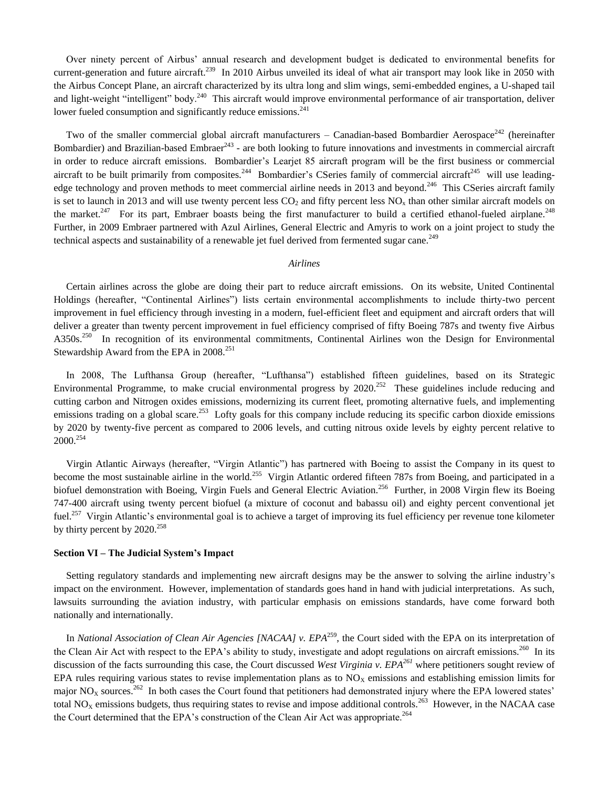Over ninety percent of Airbus' annual research and development budget is dedicated to environmental benefits for current-generation and future aircraft.<sup>239</sup> In 2010 Airbus unveiled its ideal of what air transport may look like in 2050 with the Airbus Concept Plane, an aircraft characterized by its ultra long and slim wings, semi-embedded engines, a U-shaped tail and light-weight "intelligent" body.<sup>240</sup> This aircraft would improve environmental performance of air transportation, deliver lower fueled consumption and significantly reduce emissions.<sup>241</sup>

Two of the smaller commercial global aircraft manufacturers - Canadian-based Bombardier Aerospace<sup>242</sup> (hereinafter Bombardier) and Brazilian-based Embraer<sup>243</sup> - are both looking to future innovations and investments in commercial aircraft in order to reduce aircraft emissions. Bombardier's Learjet 85 aircraft program will be the first business or commercial aircraft to be built primarily from composites.<sup>244</sup> Bombardier's CSeries family of commercial aircraft<sup>245</sup> will use leadingedge technology and proven methods to meet commercial airline needs in 2013 and beyond.<sup>246</sup> This CSeries aircraft family is set to launch in 2013 and will use twenty percent less  $CO<sub>2</sub>$  and fifty percent less  $NO<sub>x</sub>$  than other similar aircraft models on the market.<sup>247</sup> For its part, Embraer boasts being the first manufacturer to build a certified ethanol-fueled airplane.<sup>248</sup> Further, in 2009 Embraer partnered with Azul Airlines, General Electric and Amyris to work on a joint project to study the technical aspects and sustainability of a renewable jet fuel derived from fermented sugar cane.<sup>249</sup>

#### *Airlines*

 Certain airlines across the globe are doing their part to reduce aircraft emissions. On its website, United Continental Holdings (hereafter, "Continental Airlines") lists certain environmental accomplishments to include thirty-two percent improvement in fuel efficiency through investing in a modern, fuel-efficient fleet and equipment and aircraft orders that will deliver a greater than twenty percent improvement in fuel efficiency comprised of fifty Boeing 787s and twenty five Airbus A350s.<sup>250</sup> In recognition of its environmental commitments, Continental Airlines won the Design for Environmental Stewardship Award from the EPA in 2008.<sup>251</sup>

 In 2008, The Lufthansa Group (hereafter, "Lufthansa") established fifteen guidelines, based on its Strategic Environmental Programme, to make crucial environmental progress by  $2020$ .<sup>252</sup> These guidelines include reducing and cutting carbon and Nitrogen oxides emissions, modernizing its current fleet, promoting alternative fuels, and implementing emissions trading on a global scare.<sup>253</sup> Lofty goals for this company include reducing its specific carbon dioxide emissions by 2020 by twenty-five percent as compared to 2006 levels, and cutting nitrous oxide levels by eighty percent relative to 2000.<sup>254</sup>

 Virgin Atlantic Airways (hereafter, "Virgin Atlantic") has partnered with Boeing to assist the Company in its quest to become the most sustainable airline in the world.<sup>255</sup> Virgin Atlantic ordered fifteen 787s from Boeing, and participated in a biofuel demonstration with Boeing, Virgin Fuels and General Electric Aviation.<sup>256</sup> Further, in 2008 Virgin flew its Boeing 747-400 aircraft using twenty percent biofuel (a mixture of coconut and babassu oil) and eighty percent conventional jet fuel.<sup>257</sup> Virgin Atlantic's environmental goal is to achieve a target of improving its fuel efficiency per revenue tone kilometer by thirty percent by  $2020^{258}$ 

### **Section VI – The Judicial System's Impact**

 Setting regulatory standards and implementing new aircraft designs may be the answer to solving the airline industry's impact on the environment. However, implementation of standards goes hand in hand with judicial interpretations. As such, lawsuits surrounding the aviation industry, with particular emphasis on emissions standards, have come forward both nationally and internationally.

In *National Association of Clean Air Agencies [NACAA] v. EPA*<sup>259</sup>, the Court sided with the EPA on its interpretation of the Clean Air Act with respect to the EPA's ability to study, investigate and adopt regulations on aircraft emissions.<sup>260</sup> In its discussion of the facts surrounding this case, the Court discussed *West Virginia v. EPA<sup>261</sup>* where petitioners sought review of EPA rules requiring various states to revise implementation plans as to  $NO<sub>X</sub>$  emissions and establishing emission limits for major NO<sub>X</sub> sources.<sup>262</sup> In both cases the Court found that petitioners had demonstrated injury where the EPA lowered states' total NO<sub>X</sub> emissions budgets, thus requiring states to revise and impose additional controls.<sup>263</sup> However, in the NACAA case the Court determined that the EPA's construction of the Clean Air Act was appropriate.<sup>264</sup>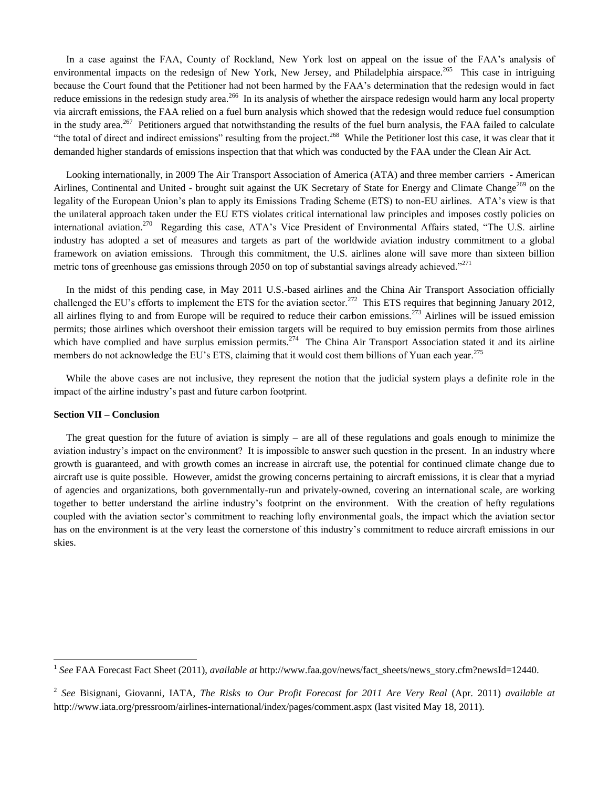In a case against the FAA, County of Rockland, New York lost on appeal on the issue of the FAA's analysis of environmental impacts on the redesign of New York, New Jersey, and Philadelphia airspace.<sup>265</sup> This case in intriguing because the Court found that the Petitioner had not been harmed by the FAA's determination that the redesign would in fact reduce emissions in the redesign study area.<sup>266</sup> In its analysis of whether the airspace redesign would harm any local property via aircraft emissions, the FAA relied on a fuel burn analysis which showed that the redesign would reduce fuel consumption in the study area.<sup>267</sup> Petitioners argued that notwithstanding the results of the fuel burn analysis, the FAA failed to calculate "the total of direct and indirect emissions" resulting from the project.<sup>268</sup> While the Petitioner lost this case, it was clear that it demanded higher standards of emissions inspection that that which was conducted by the FAA under the Clean Air Act.

 Looking internationally, in 2009 The Air Transport Association of America (ATA) and three member carriers - American Airlines, Continental and United - brought suit against the UK Secretary of State for Energy and Climate Change<sup>269</sup> on the legality of the European Union's plan to apply its Emissions Trading Scheme (ETS) to non-EU airlines. ATA's view is that the unilateral approach taken under the EU ETS violates critical international law principles and imposes costly policies on international aviation.<sup>270</sup> Regarding this case, ATA's Vice President of Environmental Affairs stated, "The U.S. airline industry has adopted a set of measures and targets as part of the worldwide aviation industry commitment to a global framework on aviation emissions. Through this commitment, the U.S. airlines alone will save more than sixteen billion metric tons of greenhouse gas emissions through 2050 on top of substantial savings already achieved."<sup>271</sup>

 In the midst of this pending case, in May 2011 U.S.-based airlines and the China Air Transport Association officially challenged the EU's efforts to implement the ETS for the aviation sector.<sup>272</sup> This ETS requires that beginning January 2012, all airlines flying to and from Europe will be required to reduce their carbon emissions.<sup>273</sup> Airlines will be issued emission permits; those airlines which overshoot their emission targets will be required to buy emission permits from those airlines which have complied and have surplus emission permits.<sup>274</sup> The China Air Transport Association stated it and its airline members do not acknowledge the EU's ETS, claiming that it would cost them billions of Yuan each year.<sup>275</sup>

While the above cases are not inclusive, they represent the notion that the judicial system plays a definite role in the impact of the airline industry's past and future carbon footprint.

# **Section VII – Conclusion**

 $\overline{a}$ 

 The great question for the future of aviation is simply – are all of these regulations and goals enough to minimize the aviation industry's impact on the environment? It is impossible to answer such question in the present. In an industry where growth is guaranteed, and with growth comes an increase in aircraft use, the potential for continued climate change due to aircraft use is quite possible. However, amidst the growing concerns pertaining to aircraft emissions, it is clear that a myriad of agencies and organizations, both governmentally-run and privately-owned, covering an international scale, are working together to better understand the airline industry's footprint on the environment. With the creation of hefty regulations coupled with the aviation sector's commitment to reaching lofty environmental goals, the impact which the aviation sector has on the environment is at the very least the cornerstone of this industry's commitment to reduce aircraft emissions in our skies.

<sup>1</sup> *See* FAA Forecast Fact Sheet (2011), *available at* http://www.faa.gov/news/fact\_sheets/news\_story.cfm?newsId=12440.

<sup>2</sup> *See* Bisignani, Giovanni, IATA, *The Risks to Our Profit Forecast for 2011 Are Very Real* (Apr. 2011) *available at* http://www.iata.org/pressroom/airlines-international/index/pages/comment.aspx (last visited May 18, 2011).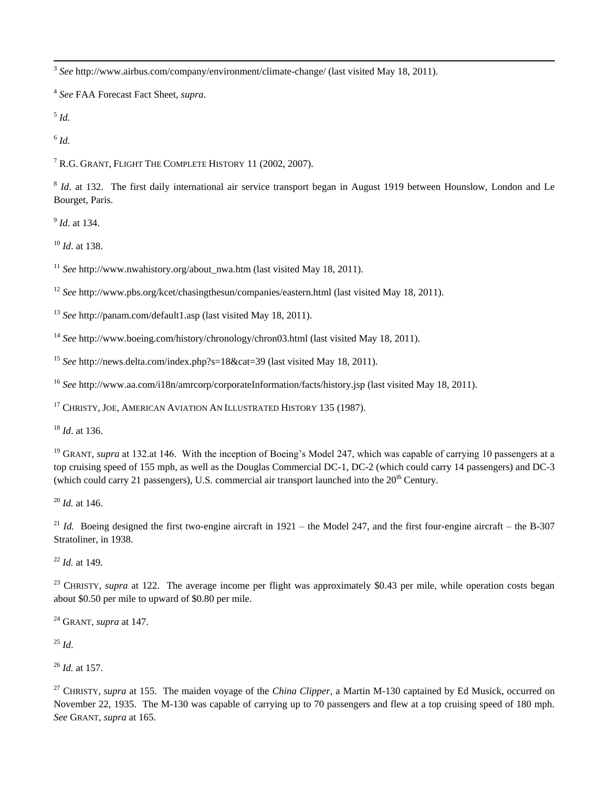3 *See* http://www.airbus.com/company/environment/climate-change/ (last visited May 18, 2011).

4 *See* FAA Forecast Fact Sheet, *supra*.

5 *Id.*

6 *Id.*

<sup>7</sup> R.G. GRANT, FLIGHT THE COMPLETE HISTORY 11 (2002, 2007).

<sup>8</sup> *Id.* at 132. The first daily international air service transport began in August 1919 between Hounslow, London and Le Bourget, Paris.

9 *Id*. at 134.

<sup>10</sup> *Id*. at 138.

<sup>11</sup> *See* http://www.nwahistory.org/about\_nwa.htm (last visited May 18, 2011).

<sup>12</sup> *See* http://www.pbs.org/kcet/chasingthesun/companies/eastern.html (last visited May 18, 2011).

<sup>13</sup> *See* http://panam.com/default1.asp (last visited May 18, 2011).

<sup>14</sup> *See* http://www.boeing.com/history/chronology/chron03.html (last visited May 18, 2011).

<sup>15</sup> *See* http://news.delta.com/index.php?s=18&cat=39 (last visited May 18, 2011).

<sup>16</sup> *See* http://www.aa.com/i18n/amrcorp/corporateInformation/facts/history.jsp (last visited May 18, 2011).

<sup>17</sup> CHRISTY, JOE, AMERICAN AVIATION AN ILLUSTRATED HISTORY 135 (1987).

<sup>18</sup> *Id*. at 136.

<sup>19</sup> GRANT, *supra* at 132.at 146. With the inception of Boeing's Model 247, which was capable of carrying 10 passengers at a top cruising speed of 155 mph, as well as the Douglas Commercial DC-1, DC-2 (which could carry 14 passengers) and DC-3 (which could carry 21 passengers), U.S. commercial air transport launched into the  $20<sup>th</sup>$  Century.

<sup>20</sup> *Id.* at 146.

<sup>21</sup> *Id.* Boeing designed the first two-engine aircraft in 1921 – the Model 247, and the first four-engine aircraft – the B-307 Stratoliner, in 1938.

<sup>22</sup> *Id.* at 149.

<sup>23</sup> CHRISTY, *supra* at 122. The average income per flight was approximately \$0.43 per mile, while operation costs began about \$0.50 per mile to upward of \$0.80 per mile.

<sup>24</sup> GRANT*, supra* at 147.

<sup>25</sup> *Id*.

<sup>26</sup> *Id.* at 157.

<sup>27</sup> CHRISTY, *supra* at 155. The maiden voyage of the *China Clipper*, a Martin M-130 captained by Ed Musick, occurred on November 22, 1935. The M-130 was capable of carrying up to 70 passengers and flew at a top cruising speed of 180 mph. *See* GRANT, *supra* at 165.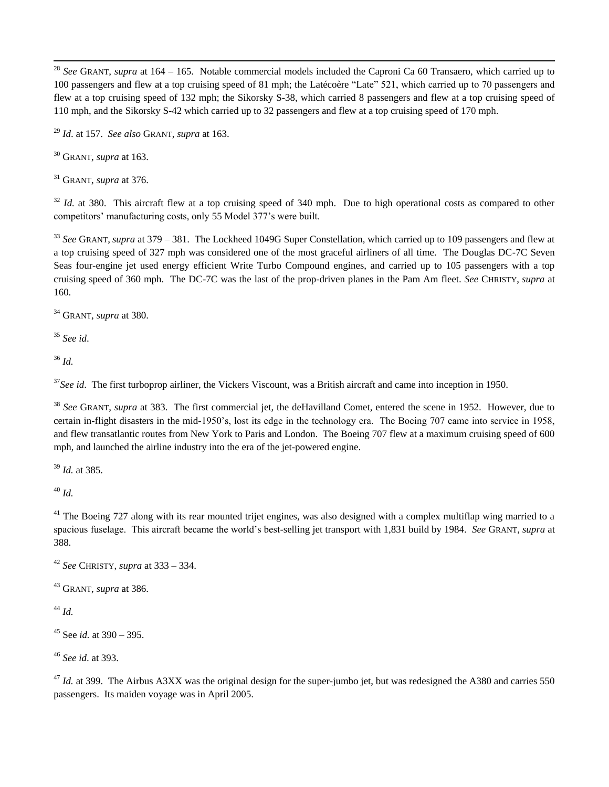$\overline{a}$ <sup>28</sup> *See* GRANT, *supra* at 164 – 165. Notable commercial models included the Caproni Ca 60 Transaero, which carried up to 100 passengers and flew at a top cruising speed of 81 mph; the Latécoère "Late" 521, which carried up to 70 passengers and flew at a top cruising speed of 132 mph; the Sikorsky S-38, which carried 8 passengers and flew at a top cruising speed of 110 mph, and the Sikorsky S-42 which carried up to 32 passengers and flew at a top cruising speed of 170 mph.

<sup>29</sup> *Id*. at 157. *See also* GRANT, *supra* at 163.

<sup>30</sup> GRANT, *supra* at 163.

<sup>31</sup> GRANT, *supra* at 376.

<sup>32</sup> *Id.* at 380. This aircraft flew at a top cruising speed of 340 mph. Due to high operational costs as compared to other competitors' manufacturing costs, only 55 Model 377's were built.

<sup>33</sup> *See* GRANT, *supra* at 379 – 381. The Lockheed 1049G Super Constellation, which carried up to 109 passengers and flew at a top cruising speed of 327 mph was considered one of the most graceful airliners of all time. The Douglas DC-7C Seven Seas four-engine jet used energy efficient Write Turbo Compound engines, and carried up to 105 passengers with a top cruising speed of 360 mph. The DC-7C was the last of the prop-driven planes in the Pam Am fleet. *See* CHRISTY, *supra* at 160.

<sup>34</sup> GRANT, *supra* at 380.

<sup>35</sup> *See id*.

<sup>36</sup> *Id.*

<sup>37</sup>See id. The first turboprop airliner, the Vickers Viscount, was a British aircraft and came into inception in 1950.

<sup>38</sup> *See* GRANT, *supra* at 383. The first commercial jet, the deHavilland Comet, entered the scene in 1952. However, due to certain in-flight disasters in the mid-1950's, lost its edge in the technology era. The Boeing 707 came into service in 1958, and flew transatlantic routes from New York to Paris and London. The Boeing 707 flew at a maximum cruising speed of 600 mph, and launched the airline industry into the era of the jet-powered engine.

<sup>39</sup> *Id.* at 385.

<sup>40</sup> *Id.*

 $41$  The Boeing 727 along with its rear mounted trijet engines, was also designed with a complex multiflap wing married to a spacious fuselage. This aircraft became the world's best-selling jet transport with 1,831 build by 1984. *See* GRANT, *supra* at 388.

<sup>42</sup> *See* CHRISTY, *supra* at 333 – 334.

<sup>43</sup> GRANT, *supra* at 386.

<sup>44</sup> *Id.*

<sup>45</sup> See *id.* at 390 – 395.

<sup>46</sup> *See id*. at 393.

<sup>47</sup> *Id.* at 399. The Airbus A3XX was the original design for the super-jumbo jet, but was redesigned the A380 and carries 550 passengers. Its maiden voyage was in April 2005.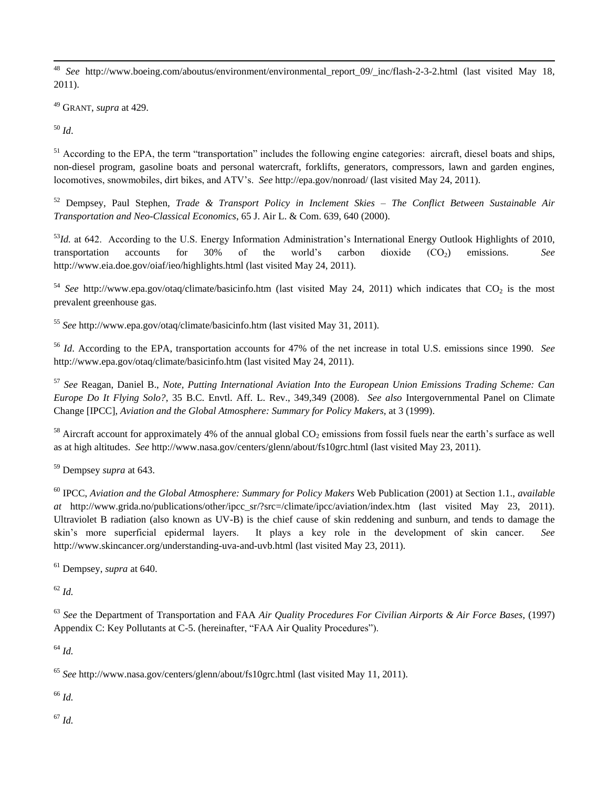$\sqrt{48}$ <sup>48</sup> *See* http://www.boeing.com/aboutus/environment/environmental\_report\_09/\_inc/flash-2-3-2.html (last visited May 18, 2011).

<sup>49</sup> GRANT, *supra* at 429.

<sup>50</sup> *Id*.

<sup>51</sup> According to the EPA, the term "transportation" includes the following engine categories: aircraft, diesel boats and ships, non-diesel program, gasoline boats and personal watercraft, forklifts, generators, compressors, lawn and garden engines, locomotives, snowmobiles, dirt bikes, and ATV's. *See* http://epa.gov/nonroad/ (last visited May 24, 2011).

<sup>52</sup> Dempsey, Paul Stephen*, Trade & Transport Policy in Inclement Skies – The Conflict Between Sustainable Air Transportation and Neo-Classical Economics*, 65 J. Air L. & Com. 639, 640 (2000).

<sup>53</sup>*Id.* at 642. According to the U.S. Energy Information Administration's International Energy Outlook Highlights of 2010, transportation accounts for 30% of the world's carbon dioxide (CO<sub>2</sub>) emissions. See http://www.eia.doe.gov/oiaf/ieo/highlights.html (last visited May 24, 2011).

<sup>54</sup> *See* http://www.epa.gov/otaq/climate/basicinfo.htm (last visited May 24, 2011) which indicates that  $CO_2$  is the most prevalent greenhouse gas.

<sup>55</sup> *See* http://www.epa.gov/otaq/climate/basicinfo.htm (last visited May 31, 2011).

<sup>56</sup> *Id*. According to the EPA, transportation accounts for 47% of the net increase in total U.S. emissions since 1990. *See* http://www.epa.gov/otaq/climate/basicinfo.htm (last visited May 24, 2011).

<sup>57</sup> *See* Reagan, Daniel B., *Note, Putting International Aviation Into the European Union Emissions Trading Scheme: Can Europe Do It Flying Solo?*, 35 B.C. Envtl. Aff. L. Rev., 349,349 (2008). *See also* Intergovernmental Panel on Climate Change [IPCC], *Aviation and the Global Atmosphere: Summary for Policy Makers*, at 3 (1999).

<sup>58</sup> Aircraft account for approximately 4% of the annual global  $CO_2$  emissions from fossil fuels near the earth's surface as well as at high altitudes. *See* http://www.nasa.gov/centers/glenn/about/fs10grc.html (last visited May 23, 2011).

<sup>59</sup> Dempsey *supra* at 643.

<sup>60</sup> IPCC, *Aviation and the Global Atmosphere: Summary for Policy Makers* Web Publication (2001) at Section 1.1., *available at* http://www.grida.no/publications/other/ipcc sr/?src=/climate/ipcc/aviation/index.htm (last visited May 23, 2011). Ultraviolet B radiation (also known as UV-B) is the chief cause of skin reddening and sunburn, and tends to damage the skin's more superficial epidermal layers. It plays a key role in the development of skin cancer. *See* http://www.skincancer.org/understanding-uva-and-uvb.html (last visited May 23, 2011).

<sup>61</sup> Dempsey, *supra* at 640.

<sup>62</sup> *Id.*

<sup>63</sup> *See* the Department of Transportation and FAA *Air Quality Procedures For Civilian Airports & Air Force Bases*, (1997) Appendix C: Key Pollutants at C-5. (hereinafter, "FAA Air Quality Procedures").

<sup>64</sup> *Id.*

<sup>65</sup> *See* http://www.nasa.gov/centers/glenn/about/fs10grc.html (last visited May 11, 2011).

<sup>66</sup> *Id.*

<sup>67</sup> *Id.*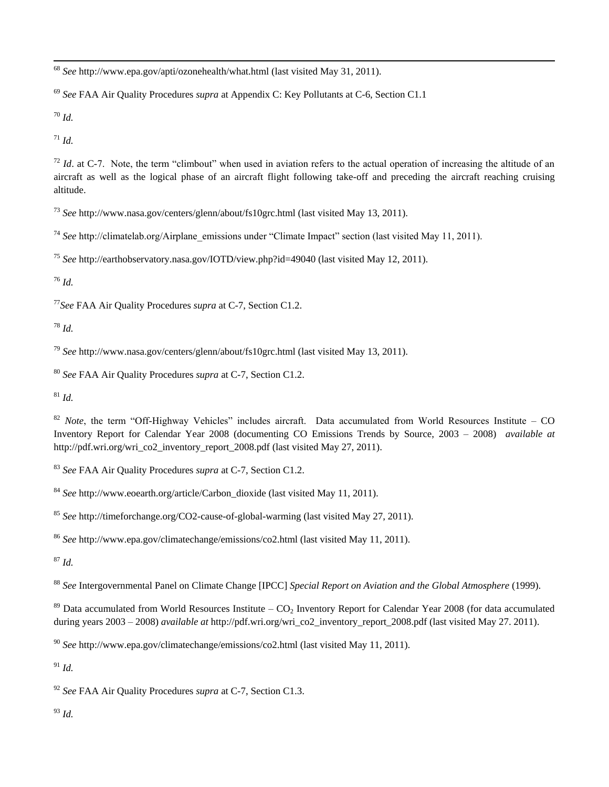$\overline{a}$ *See* http://www.epa.gov/apti/ozonehealth/what.html (last visited May 31, 2011).

*See* FAA Air Quality Procedures *supra* at Appendix C: Key Pollutants at C-6, Section C1.1

*Id.*

*Id.*

 *Id.* at C-7. Note, the term "climbout" when used in aviation refers to the actual operation of increasing the altitude of an aircraft as well as the logical phase of an aircraft flight following take-off and preceding the aircraft reaching cruising altitude.

*See* http://www.nasa.gov/centers/glenn/about/fs10grc.html (last visited May 13, 2011).

<sup>74</sup> See http://climatelab.org/Airplane\_emissions under "Climate Impact" section (last visited May 11, 2011).

*See* http://earthobservatory.nasa.gov/IOTD/view.php?id=49040 (last visited May 12, 2011).

*Id.*

*See* FAA Air Quality Procedures *supra* at C-7, Section C1.2.

*Id.*

*See* http://www.nasa.gov/centers/glenn/about/fs10grc.html (last visited May 13, 2011).

*See* FAA Air Quality Procedures *supra* at C-7, Section C1.2.

*Id.*

<sup>82</sup> *Note*, the term "Off-Highway Vehicles" includes aircraft. Data accumulated from World Resources Institute – CO Inventory Report for Calendar Year 2008 (documenting CO Emissions Trends by Source, 2003 – 2008) *available at* http://pdf.wri.org/wri\_co2\_inventory\_report\_2008.pdf (last visited May 27, 2011).

*See* FAA Air Quality Procedures *supra* at C-7, Section C1.2.

*See* http://www.eoearth.org/article/Carbon\_dioxide (last visited May 11, 2011).

*See* http://timeforchange.org/CO2-cause-of-global-warming (last visited May 27, 2011).

*See* http://www.epa.gov/climatechange/emissions/co2.html (last visited May 11, 2011).

*Id.*

*See* Intergovernmental Panel on Climate Change [IPCC] *Special Report on Aviation and the Global Atmosphere* (1999).

<sup>89</sup> Data accumulated from World Resources Institute – CO<sub>2</sub> Inventory Report for Calendar Year 2008 (for data accumulated during years 2003 – 2008) *available at* http://pdf.wri.org/wri\_co2\_inventory\_report\_2008.pdf (last visited May 27. 2011).

*See* http://www.epa.gov/climatechange/emissions/co2.html (last visited May 11, 2011).

*Id.*

*See* FAA Air Quality Procedures *supra* at C-7, Section C1.3.

*Id.*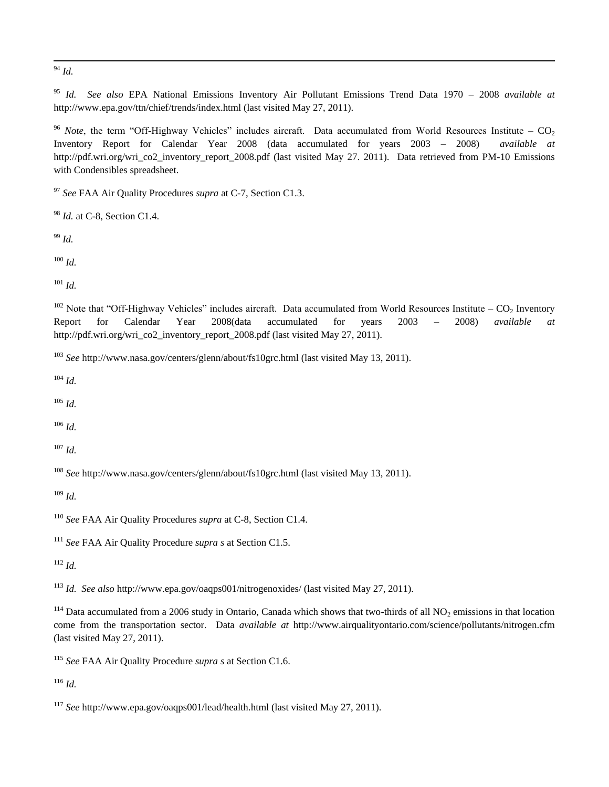$\overline{a}$ *Id.*

 *Id. See also* EPA National Emissions Inventory Air Pollutant Emissions Trend Data 1970 – 2008 *available at*  http://www.epa.gov/ttn/chief/trends/index.html (last visited May 27, 2011).

<sup>96</sup> *Note*, the term "Off-Highway Vehicles" includes aircraft. Data accumulated from World Resources Institute – CO<sub>2</sub> Inventory Report for Calendar Year 2008 (data accumulated for years 2003 – 2008) *available at* http://pdf.wri.org/wri\_co2\_inventory\_report\_2008.pdf (last visited May 27. 2011). Data retrieved from PM-10 Emissions with Condensibles spreadsheet.

*See* FAA Air Quality Procedures *supra* at C-7, Section C1.3.

*Id.* at C-8, Section C1.4.

*Id.*

*Id.*

*Id.*

<sup>102</sup> Note that "Off-Highway Vehicles" includes aircraft. Data accumulated from World Resources Institute –  $CO<sub>2</sub>$  Inventory Report for Calendar Year 2008(data accumulated for years 2003 – 2008) *available at* http://pdf.wri.org/wri\_co2\_inventory\_report\_2008.pdf (last visited May 27, 2011).

*See* http://www.nasa.gov/centers/glenn/about/fs10grc.html (last visited May 13, 2011).

*Id.*

*Id.*

*Id.*

*Id.*

*See* http://www.nasa.gov/centers/glenn/about/fs10grc.html (last visited May 13, 2011).

*Id.*

*See* FAA Air Quality Procedures *supra* at C-8, Section C1.4.

*See* FAA Air Quality Procedure *supra s* at Section C1.5.

*Id.*

*Id. See also* http://www.epa.gov/oaqps001/nitrogenoxides/ (last visited May 27, 2011).

<sup>114</sup> Data accumulated from a 2006 study in Ontario, Canada which shows that two-thirds of all NO<sub>2</sub> emissions in that location come from the transportation sector. Data *available at* http://www.airqualityontario.com/science/pollutants/nitrogen.cfm (last visited May 27, 2011).

*See* FAA Air Quality Procedure *supra s* at Section C1.6.

*Id.*

*See* http://www.epa.gov/oaqps001/lead/health.html (last visited May 27, 2011).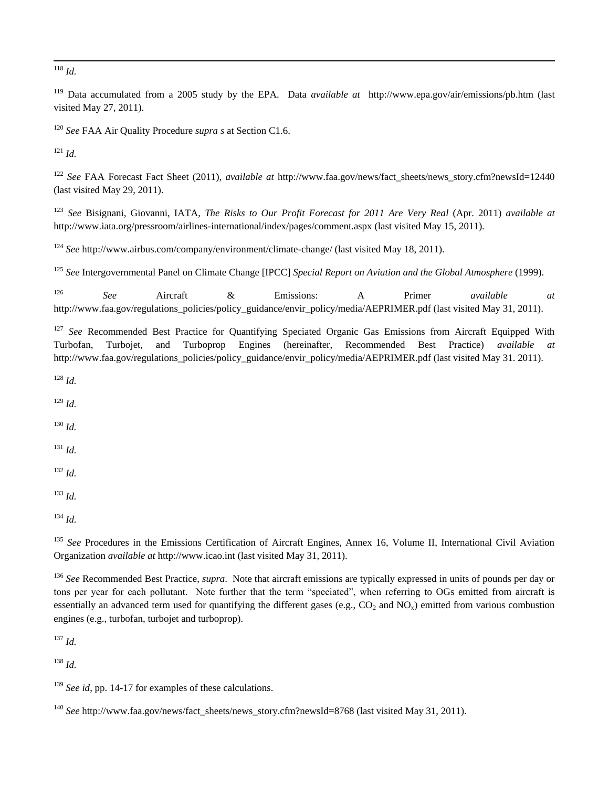$\overline{a}$ <sup>118</sup> *Id.*

<sup>119</sup> Data accumulated from a 2005 study by the EPA. Data *available at* http://www.epa.gov/air/emissions/pb.htm (last visited May 27, 2011).

<sup>120</sup> *See* FAA Air Quality Procedure *supra s* at Section C1.6.

<sup>121</sup> *Id.*

<sup>122</sup> *See* FAA Forecast Fact Sheet (2011), *available at* http://www.faa.gov/news/fact sheets/news\_story.cfm?newsId=12440 (last visited May 29, 2011).

<sup>123</sup> *See* Bisignani, Giovanni, IATA, *The Risks to Our Profit Forecast for 2011 Are Very Real* (Apr. 2011) *available at* http://www.iata.org/pressroom/airlines-international/index/pages/comment.aspx (last visited May 15, 2011).

<sup>124</sup> *See* http://www.airbus.com/company/environment/climate-change/ (last visited May 18, 2011).

<sup>125</sup> *See* Intergovernmental Panel on Climate Change [IPCC] *Special Report on Aviation and the Global Atmosphere* (1999).

<sup>126</sup> *See* Aircraft & Emissions: A Primer *available at* http://www.faa.gov/regulations\_policies/policy\_guidance/envir\_policy/media/AEPRIMER.pdf (last visited May 31, 2011).

<sup>127</sup> *See* Recommended Best Practice for Quantifying Speciated Organic Gas Emissions from Aircraft Equipped With Turbofan, Turbojet, and Turboprop Engines (hereinafter, Recommended Best Practice) *available at* http://www.faa.gov/regulations\_policies/policy\_guidance/envir\_policy/media/AEPRIMER.pdf (last visited May 31. 2011).

<sup>128</sup> *Id.*

<sup>129</sup> *Id.*

<sup>130</sup> *Id.*

<sup>131</sup> *Id.*

$$
^{132}\,Id.
$$

<sup>133</sup> *Id.*

<sup>134</sup> *Id.*

<sup>135</sup> *See* Procedures in the Emissions Certification of Aircraft Engines, Annex 16, Volume II, International Civil Aviation Organization *available at* http://www.icao.int (last visited May 31, 2011).

<sup>136</sup> *See* Recommended Best Practice, *supra*. Note that aircraft emissions are typically expressed in units of pounds per day or tons per year for each pollutant. Note further that the term "speciated", when referring to OGs emitted from aircraft is essentially an advanced term used for quantifying the different gases (e.g.,  $CO_2$  and  $NO_x$ ) emitted from various combustion engines (e.g., turbofan, turbojet and turboprop).

<sup>137</sup> *Id.*

<sup>138</sup> *Id.*

<sup>139</sup> *See id*, pp. 14-17 for examples of these calculations.

<sup>140</sup> See http://www.faa.gov/news/fact\_sheets/news\_story.cfm?newsId=8768 (last visited May 31, 2011).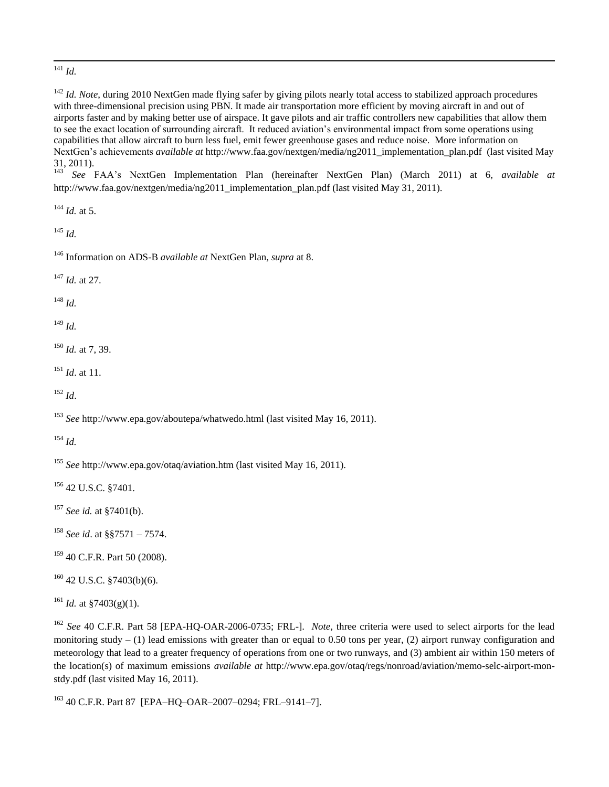$\overline{a}$ <sup>141</sup> *Id.*

<sup>142</sup> *Id. Note*, during 2010 NextGen made flying safer by giving pilots nearly total access to stabilized approach procedures with three-dimensional precision using PBN. It made air transportation more efficient by moving aircraft in and out of airports faster and by making better use of airspace. It gave pilots and air traffic controllers new capabilities that allow them to see the exact location of surrounding aircraft. It reduced aviation's environmental impact from some operations using capabilities that allow aircraft to burn less fuel, emit fewer greenhouse gases and reduce noise. More information on NextGen's achievements *available at* http://www.faa.gov/nextgen/media/ng2011\_implementation\_plan.pdf (last visited May  $31, 2011$ ).

<sup>143</sup> *See* FAA's NextGen Implementation Plan (hereinafter NextGen Plan) (March 2011) at 6, *available at* http://www.faa.gov/nextgen/media/ng2011\_implementation\_plan.pdf (last visited May 31, 2011).

 $^{144}$  *Id.* at 5.

$$
^{145}\ Id.
$$

<sup>146</sup> Information on ADS-B *available at* NextGen Plan, *supra* at 8.

<sup>147</sup> *Id.* at 27.

<sup>148</sup> *Id.*

$$
^{149} \, Id.
$$

<sup>150</sup> *Id.* at 7, 39.

<sup>151</sup> *Id*. at 11.

<sup>152</sup> *Id*.

<sup>153</sup> *See* http://www.epa.gov/aboutepa/whatwedo.html (last visited May 16, 2011).

<sup>154</sup> *Id.*

<sup>155</sup> *See* http://www.epa.gov/otaq/aviation.htm (last visited May 16, 2011).

<sup>156</sup> 42 U.S.C. §7401.

<sup>157</sup> *See id.* at §7401(b).

<sup>158</sup> *See id*. at §§7571 – 7574.

<sup>159</sup> 40 C.F.R. Part 50 (2008).

 $160$  42 U.S.C. §7403(b)(6).

 $^{161}$  *Id.* at §7403(g)(1).

<sup>162</sup> *See* 40 C.F.R. Part 58 [EPA-HQ-OAR-2006-0735; FRL-]. *Note*, three criteria were used to select airports for the lead monitoring study  $- (1)$  lead emissions with greater than or equal to 0.50 tons per year, (2) airport runway configuration and meteorology that lead to a greater frequency of operations from one or two runways, and (3) ambient air within 150 meters of the location(s) of maximum emissions *available at* http://www.epa.gov/otaq/regs/nonroad/aviation/memo-selc-airport-monstdy.pdf (last visited May 16, 2011).

<sup>163</sup> 40 C.F.R. Part 87 [EPA–HQ–OAR–2007–0294; FRL–9141–7].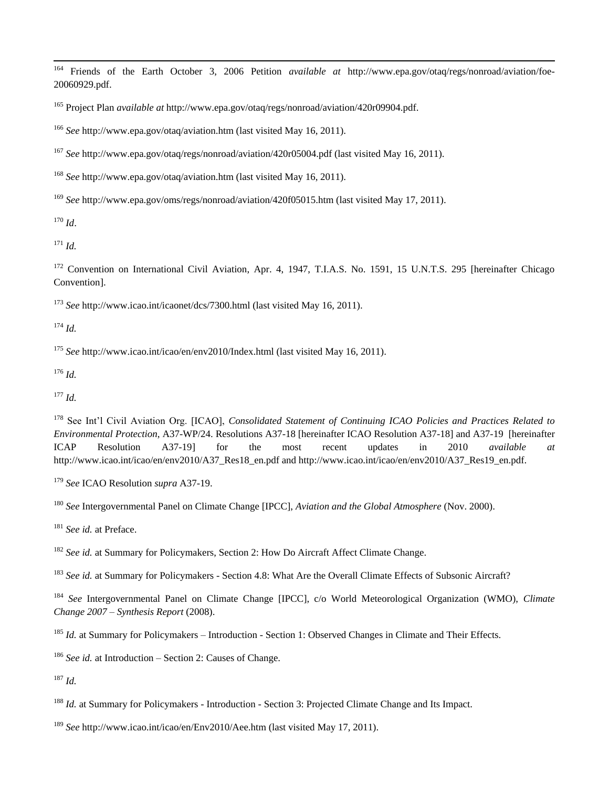164 <sup>164</sup> Friends of the Earth October 3, 2006 Petition *available at* http://www.epa.gov/otaq/regs/nonroad/aviation/foe-20060929.pdf.

<sup>165</sup> Project Plan *available at* http://www.epa.gov/otaq/regs/nonroad/aviation/420r09904.pdf.

<sup>166</sup> *See* http://www.epa.gov/otaq/aviation.htm (last visited May 16, 2011).

<sup>167</sup> *See* http://www.epa.gov/otaq/regs/nonroad/aviation/420r05004.pdf (last visited May 16, 2011).

<sup>168</sup> *See* http://www.epa.gov/otaq/aviation.htm (last visited May 16, 2011).

<sup>169</sup> *See* http://www.epa.gov/oms/regs/nonroad/aviation/420f05015.htm (last visited May 17, 2011).

<sup>170</sup> *Id*.

<sup>171</sup> *Id.*

<sup>172</sup> Convention on International Civil Aviation, Apr. 4, 1947, T.I.A.S. No. 1591, 15 U.N.T.S. 295 [hereinafter Chicago] Convention].

<sup>173</sup> See http://www.icao.int/icaonet/dcs/7300.html (last visited May 16, 2011).

<sup>174</sup> *Id.*

<sup>175</sup> *See* http://www.icao.int/icao/en/env2010/Index.html (last visited May 16, 2011).

<sup>176</sup> *Id.*

<sup>177</sup> *Id.*

<sup>178</sup> See Int'l Civil Aviation Org. [ICAO], *Consolidated Statement of Continuing ICAO Policies and Practices Related to Environmental Protection*, A37-WP/24. Resolutions A37-18 [hereinafter ICAO Resolution A37-18] and A37-19 [hereinafter ICAP Resolution A37-19] for the most recent updates in 2010 *available at* http://www.icao.int/icao/en/env2010/A37\_Res18\_en.pdf and http://www.icao.int/icao/en/env2010/A37\_Res19\_en.pdf.

<sup>179</sup> *See* ICAO Resolution *supra* A37-19.

<sup>180</sup> *See* Intergovernmental Panel on Climate Change [IPCC], *Aviation and the Global Atmosphere* (Nov. 2000).

<sup>181</sup> See id. at Preface.

<sup>182</sup> *See id.* at Summary for Policymakers, Section 2: How Do Aircraft Affect Climate Change.

<sup>183</sup> See id. at Summary for Policymakers - Section 4.8: What Are the Overall Climate Effects of Subsonic Aircraft?

<sup>184</sup> *See* Intergovernmental Panel on Climate Change [IPCC], c/o World Meteorological Organization (WMO), *Climate Change 2007 – Synthesis Report* (2008).

<sup>185</sup> *Id.* at Summary for Policymakers – Introduction - Section 1: Observed Changes in Climate and Their Effects.

<sup>186</sup> *See id.* at Introduction – Section 2: Causes of Change.

<sup>187</sup> *Id.*

<sup>188</sup> *Id.* at Summary for Policymakers - Introduction - Section 3: Projected Climate Change and Its Impact.

<sup>189</sup> *See* http://www.icao.int/icao/en/Env2010/Aee.htm (last visited May 17, 2011).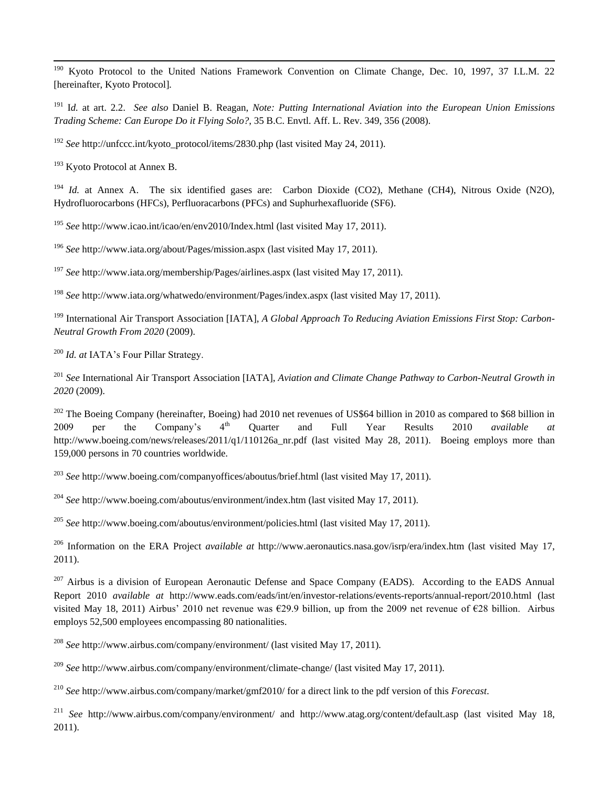$\overline{a}$ Kyoto Protocol to the United Nations Framework Convention on Climate Change, Dec. 10, 1997, 37 I.L.M. 22 [hereinafter, Kyoto Protocol]*.*

<sup>191</sup> I*d.* at art. 2.2. *See also* Daniel B. Reagan, *Note: Putting International Aviation into the European Union Emissions Trading Scheme: Can Europe Do it Flying Solo?*, 35 B.C. Envtl. Aff. L. Rev. 349, 356 (2008).

<sup>192</sup> *See* http://unfccc.int/kyoto\_protocol/items/2830.php (last visited May 24, 2011).

<sup>193</sup> Kyoto Protocol at Annex B.

<sup>194</sup> *Id.* at Annex A. The six identified gases are: Carbon Dioxide (CO2), Methane (CH4), Nitrous Oxide (N2O), Hydrofluorocarbons (HFCs), Perfluoracarbons (PFCs) and Suphurhexafluoride (SF6).

<sup>195</sup> *See* http://www.icao.int/icao/en/env2010/Index.html (last visited May 17, 2011).

<sup>196</sup> *See* http://www.iata.org/about/Pages/mission.aspx (last visited May 17, 2011).

<sup>197</sup> *See* http://www.iata.org/membership/Pages/airlines.aspx (last visited May 17, 2011).

<sup>198</sup> *See* http://www.iata.org/whatwedo/environment/Pages/index.aspx (last visited May 17, 2011).

<sup>199</sup> International Air Transport Association [IATA], *A Global Approach To Reducing Aviation Emissions First Stop: Carbon-Neutral Growth From 2020* (2009).

<sup>200</sup> *Id. at* IATA's Four Pillar Strategy.

<sup>201</sup> *See* International Air Transport Association [IATA], *Aviation and Climate Change Pathway to Carbon-Neutral Growth in 2020* (2009).

 $^{202}$  The Boeing Company (hereinafter, Boeing) had 2010 net revenues of US\$64 billion in 2010 as compared to \$68 billion in 2009 per the Company's 4th Quarter and Full Year Results 2010 *available at* http://www.boeing.com/news/releases/2011/q1/110126a\_nr.pdf (last visited May 28, 2011). Boeing employs more than 159,000 persons in 70 countries worldwide.

<sup>203</sup> *See* http://www.boeing.com/companyoffices/aboutus/brief.html (last visited May 17, 2011).

<sup>204</sup> *See* http://www.boeing.com/aboutus/environment/index.htm (last visited May 17, 2011).

<sup>205</sup> *See* http://www.boeing.com/aboutus/environment/policies.html (last visited May 17, 2011).

<sup>206</sup> Information on the ERA Project *available at* http://www.aeronautics.nasa.gov/isrp/era/index.htm (last visited May 17, 2011).

<sup>207</sup> Airbus is a division of European Aeronautic Defense and Space Company (EADS). According to the EADS Annual Report 2010 *available at* http://www.eads.com/eads/int/en/investor-relations/events-reports/annual-report/2010.html (last visited May 18, 2011) Airbus' 2010 net revenue was €29.9 billion, up from the 2009 net revenue of €28 billion. Airbus employs 52,500 employees encompassing 80 nationalities.

<sup>208</sup> *See* http://www.airbus.com/company/environment/ (last visited May 17, 2011).

<sup>209</sup> *See* http://www.airbus.com/company/environment/climate-change/ (last visited May 17, 2011).

<sup>210</sup> *See* http://www.airbus.com/company/market/gmf2010/ for a direct link to the pdf version of this *Forecast*.

<sup>211</sup> *See* http://www.airbus.com/company/environment/ and http://www.atag.org/content/default.asp (last visited May 18, 2011).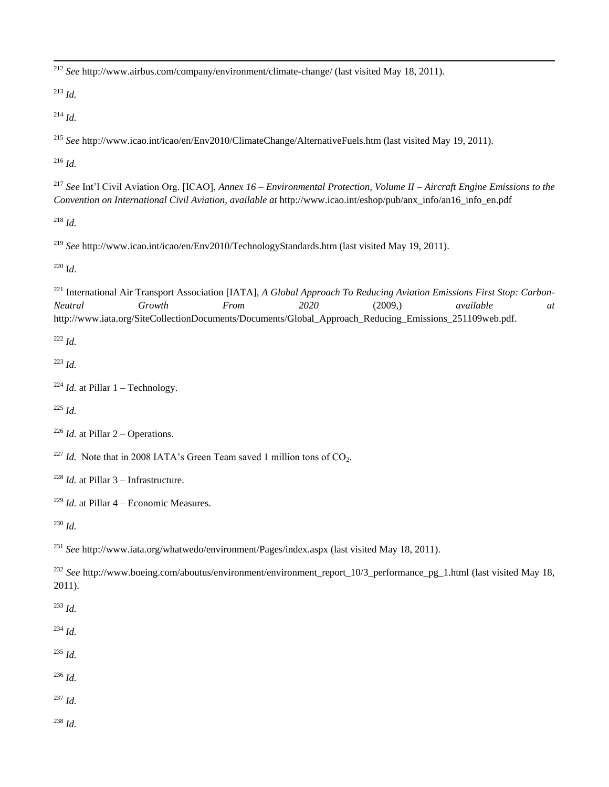*See* http://www.airbus.com/company/environment/climate-change/ (last visited May 18, 2011).

*Id.*

 $\overline{a}$ 

*Id.*

*See* http://www.icao.int/icao/en/Env2010/ClimateChange/AlternativeFuels.htm (last visited May 19, 2011).

*Id.*

 *See* Int'l Civil Aviation Org. [ICAO], *Annex 16 – Environmental Protection, Volume II – Aircraft Engine Emissions to the Convention on International Civil Aviation, available at* http://www.icao.int/eshop/pub/anx\_info/an16\_info\_en.pdf

*Id.*

*See* http://www.icao.int/icao/en/Env2010/TechnologyStandards.htm (last visited May 19, 2011).

I*d.*

 International Air Transport Association [IATA], *A Global Approach To Reducing Aviation Emissions First Stop: Carbon-Neutral Growth From 2020* (2009,) *available at* http://www.iata.org/SiteCollectionDocuments/Documents/Global Approach Reducing Emissions 251109web.pdf.

*Id.*

$$
^{223}\ Id.
$$

 $^{224}$  *Id.* at Pillar 1 – Technology.

*Id.*

 $^{226}$  *Id.* at Pillar 2 – Operations.

<sup>227</sup> *Id.* Note that in 2008 IATA's Green Team saved 1 million tons of  $CO<sub>2</sub>$ .

 $^{228}$  *Id.* at Pillar 3 – Infrastructure.

*Id.* at Pillar 4 – Economic Measures.

*Id.*

*See* http://www.iata.org/whatwedo/environment/Pages/index.aspx (last visited May 18, 2011).

<sup>232</sup> See http://www.boeing.com/aboutus/environment/environment\_report\_10/3\_performance\_pg\_1.html (last visited May 18, 2011).

*Id.*

*Id.*

*Id.*

*Id.*

*Id.*

*Id.*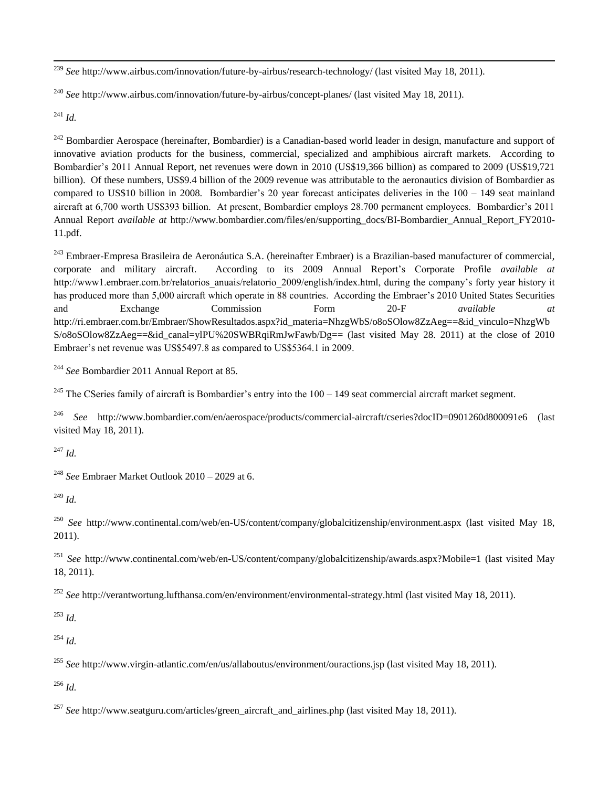$\overline{a}$ <sup>239</sup> *See* http://www.airbus.com/innovation/future-by-airbus/research-technology/ (last visited May 18, 2011).

<sup>240</sup> *See* http://www.airbus.com/innovation/future-by-airbus/concept-planes/ (last visited May 18, 2011).

<sup>241</sup> *Id.*

 $242$  Bombardier Aerospace (hereinafter, Bombardier) is a Canadian-based world leader in design, manufacture and support of innovative aviation products for the business, commercial, specialized and amphibious aircraft markets. According to Bombardier's 2011 Annual Report, net revenues were down in 2010 (US\$19,366 billion) as compared to 2009 (US\$19,721 billion). Of these numbers, US\$9.4 billion of the 2009 revenue was attributable to the aeronautics division of Bombardier as compared to US\$10 billion in 2008. Bombardier's 20 year forecast anticipates deliveries in the 100 – 149 seat mainland aircraft at 6,700 worth US\$393 billion. At present, Bombardier employs 28.700 permanent employees. Bombardier's 2011 Annual Report *available at* http://www.bombardier.com/files/en/supporting\_docs/BI-Bombardier\_Annual\_Report\_FY2010- 11.pdf.

<sup>243</sup> Embraer-Empresa Brasileira de Aeronáutica S.A. (hereinafter Embraer) is a Brazilian-based manufacturer of commercial, corporate and military aircraft. According to its 2009 Annual Report's Corporate Profile *available at* http://www1.embraer.com.br/relatorios\_anuais/relatorio\_2009/english/index.html, during the company's forty year history it has produced more than 5,000 aircraft which operate in 88 countries. According the Embraer's 2010 United States Securities and Exchange Commission Form 20-F *available at* http://ri.embraer.com.br/Embraer/ShowResultados.aspx?id\_materia=NhzgWbS/o8oSOlow8ZzAeg==&id\_vinculo=NhzgWb S/o8oSOlow8ZzAeg==&id\_canal=ylPU%20SWBRqiRmJwFawb/Dg== (last visited May 28. 2011) at the close of 2010 Embraer's net revenue was US\$5497.8 as compared to US\$5364.1 in 2009.

<sup>244</sup> *See* Bombardier 2011 Annual Report at 85.

<sup>245</sup> The CSeries family of aircraft is Bombardier's entry into the  $100 - 149$  seat commercial aircraft market segment.

<sup>246</sup> *See* http://www.bombardier.com/en/aerospace/products/commercial-aircraft/cseries?docID=0901260d800091e6 (last visited May 18, 2011).

<sup>247</sup> *Id.*

<sup>248</sup> *See* Embraer Market Outlook 2010 – 2029 at 6.

<sup>249</sup> *Id.*

<sup>250</sup> *See* http://www.continental.com/web/en-US/content/company/globalcitizenship/environment.aspx (last visited May 18, 2011).

<sup>251</sup> *See* http://www.continental.com/web/en-US/content/company/globalcitizenship/awards.aspx?Mobile=1 (last visited May 18, 2011).

<sup>252</sup> *See* http://verantwortung.lufthansa.com/en/environment/environmental-strategy.html (last visited May 18, 2011).

<sup>253</sup> *Id.*

<sup>254</sup> *Id.*

<sup>255</sup> *See* http://www.virgin-atlantic.com/en/us/allaboutus/environment/ouractions.jsp (last visited May 18, 2011).

<sup>256</sup> *Id.*

<sup>257</sup> *See* http://www.seatguru.com/articles/green\_aircraft\_and\_airlines.php (last visited May 18, 2011).